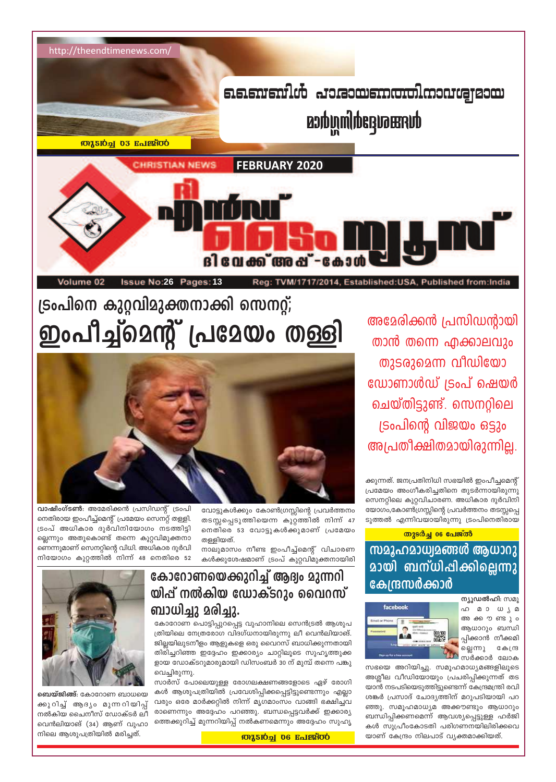

അമേരിക്കൻ പ്രസിഡന്റായി താൻ തന്നെ എക്കാലവും തുടരുമെന്ന വീഡിയോ ഡോണാൾഡ് ട്രംപ് ഷെയർ ചെയ്തിട്ടുണ്ട്. സെനറ്റിലെ ട്രംപിന്റെ വിജയം ഒട്ടും അപ്രതീക്ഷിതമായിരുന്നില്ല.

ക്കുന്നത്. ജനപ്രതിനിധി സഭയിൽ ഇംപീച്ചമെന്റ് പ്രമേയം അംഗീകരിച്ചതിനെ തുടർന്നായിരുന്നു സെനറ്റിലെ കുറ്റവിചാരണ. അധികാര ദുർവിനി യോഗം,കോൺഗ്രസ്സിന്റെ പ്രവർത്തനം തടസ്സപ്പെ ടുത്തൽ എന്നിവയായിരുന്നു ട്രംപിനെതിരായ

തുടർച്ച 06 പേജ്ൽ <u>സമൂഹമാധ്വമങ്ങൾ ആധാറു</u> **മായി ബന്ധി**പ്പിക്കില്ലെന്നു കേന്ദ്രസർക്കാർ



ന്യൂഡൽഹി: സമൂ ഹ മാധൃമ അക്കൗണ്ടും ആധാറും ബന്ധി പ്പിക്കാൻ ന<mark>ീ</mark>ക്കമി ല്ലെന്നു കേന്ദ്ര <u>ിക്കാർ ലോക</u>

സഭയെ അറിയിച്ചു. സമൂഹമാധ്യമങ്ങളിലൂടെ അശ്ലീല വീഡിയോയും പ്രചരിപ്പിക്കുന്നത് തട യാൻ നടപടിയെടുത്തിട്ടുണ്ടെന്ന് കേന്ദ്രമന്ത്രി രവി ശങ്കർ പ്രസാദ് ചോദ്യത്തിന് മറുപടിയായി പറ ഞ്ഞു. സമൂഹമാധ്യമ അക്കൗണ്ടും ആധാറും ബന്ധിപ്പിക്കണമെന്ന് ആവശ്യപ്പെട്ടുള്ള ഹർജി കൾ സുപ്രീംകോടതി പരിഗണനയിലിരിക്കവെ യാണ് കേന്ദ്രം നിലപാട് വ്യക്തമാക്കിയത്.

വോട്ടുകൾക്കും കോൺഗ്രസ്സിന്റെ പ്രവർത്തനം തടസ്സപ്പെടുത്തിയെന്ന കുറ്റത്തിൽ നിന്ന് 47 നെതിരെ 53 വോട്ടുകൾക്കുമാണ് പ്രമേയം തള്ളിയത്.

നാലുമാസം നീണ്ട ഇംപീച്ച്മെന്റ് വിചാരണ കൾക്കുശേഷമാണ് ട്രംപ് കുറ്റവിമുക്തനായിരി

#### ല്ലെന്നും അതുകൊണ്ട് തന്നെ കുറ്റവിമുക്തനാ ണെന്നുമാണ് സെനറ്റിന്റെ വിധി. അധികാര ദുർവി നിയോഗം കുറ്റത്തിൽ നിന്ന് 48 നെതിരെ 52 കോറോണയെക്കുറിച്ച് ആദ്വം മുന്നറി യിപ്പ് നൽകിയ ഡോക്ടറും വൈറസ്

ട്രംപിനെ കുറ്റവിമുക്തനാക്കി സെനറ്റ്;

ഇംപീച്ച്മെന്റ് പ്രമേയം തള്ളി

ബാധിച്ചു മരിച്ചു.

കോറോണ പൊട്ടിപ്പുറപ്പെട്ട വുഹാനിലെ സെൻട്രൽ ആശുപ ത്രിയിലെ നേത്രരോഗ വിദഗ്ധനായിരുന്നു ലീ വെൻലിയാങ്. ജില്ലയിലുടനീളം ആളുകളെ ഒരു വൈറസ് ബാധിക്കുന്നതായി തിരിച്ചറിഞ്ഞ ഇദ്ദേഹം ഇക്കാര്യം ചാറ്റിലൂടെ സുഹൃത്തുക്ക ളായ ഡോക്ടറുമാരുമായി ഡിസംബർ 30 ന് മുമ്പ് തന്നെ പങ്കു വെച്ചിരുന്നു.

സാർസ് പോലെയുള്ള രോഗലക്ഷണങ്ങളോടെ ഏഴ് രോഗി കൾ ആശുപത്രിയിൽ പ്രവേശിപ്പിക്കപ്പെട്ടിട്ടുണ്ടെന്നും എല്ലാ വരും ഒരേ മാർക്കറ്റിൽ നിന്ന് മൃഗമാംസം വാങ്ങി ഭക്ഷിച്ചവ രാണെന്നും അദ്ദേഹം പറഞ്ഞു. ബന്ധപ്പെട്ടവർക്ക് ഇക്കാര്യ ത്തെക്കുറിച്ച് മുന്നറിയിപ്പ് നൽകണമെന്നും അദ്ദേഹം സുഹൃ

വാഷിംഗ്ടൺ: അമേരിക്കൻ പ്രസിഡന്റ് ട്രംപി

നെതിരായ ഇംപീച്ച്മെന്റ് പ്രമേയം സെനറ്റ് തള്ളി.

ട്രംപ് അധികാര ദുർവിനിയോഗം നടത്തിട്ടി

ബെയ്ജിങ്ങ്: കോറോണ ബാധയെ ക്കുറിച്ച് ആദ്യം മുന്നറിയിപ്പ് നൽകിയ ചൈനീസ് ഡോക്ടർ ലീ വെൻലിയാങ് (34) ആണ് വുഹാ നിലെ ആശുപത്രിയിൽ മരിച്ചത്.

#### **MASION 06 Rolesfoo**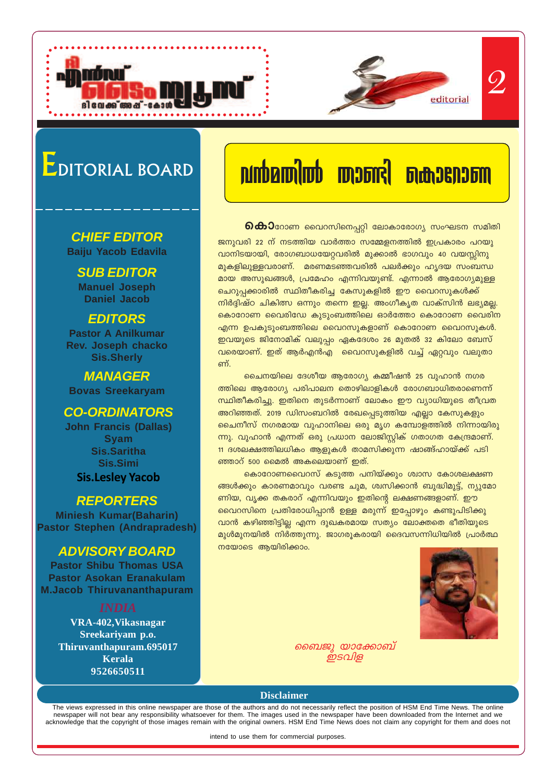# EDITORIAL BOARD

#### **CHIEF EDITOR Baiju Yacob Edavila**

**SUB EDITOR Manuel Joseph Daniel Jacob**

#### **EDITORS**

**Pastor A Anilkumar Rev. Joseph chacko Sis.Sherly**

**MANAGER Bovas Sreekaryam**

#### **CO-ORDINATORS**

**John Francis (Dallas) Syam Sis.Saritha Sis.Simi Sis.Lesley Yacob**

#### **REPORTERS**

**Miniesh Kumar(Baharin) Pastor Stephen (Andrapradesh)**

#### **ADVISORY BOARD**

**Pastor Shibu Thomas USA Pastor Asokan Eranakulam M.Jacob Thiruvananthapuram**

**VRA-402,Vikasnagar Sreekariyam p.o. Thiruvanthapuram.695017 Kerala 9526650511**

# **h≥a-Xn¬ Xm≠n sImtdm-W**

*\nco-£-I≥*

2

**ெകാി**റോണ വൈറസിനെപ്പറ്റി ലോകാരോഗ്യ സംഘടന സമിതി

ജനുവരി 22 ന് നടത്തിയ വാർത്താ സമ്മേളനത്തിൽ ഇപ്രകാരം പറയു വാനിടയായി, രോഗബാധയേറ്റവരിൽ മുക്കാൽ ഭാഗവും 40 വയസ്സിനു മുകളിലുള്ളവരാണ്. മരണമടഞ്ഞവരിൽ പലർക്കും ഹൃദയ സംബന്ധ മായ അസുഖങ്ങൾ, പ്രമേഹം എന്നിവയുണ്ട്. എന്നാൽ ആരോഗ്യമുള്ള <u>ചെറുപ്പ</u>ക്കാരിൽ സ്ഥിതീകരിച്ച കേസുകളിൽ ഈ വൈറസുകൾക്ക് നിർദ്ദിഷ്ഠ ചികിത്സ ഒന്നും തന്നെ ഇല്ല. അംഗീകൃത വാക്സിൻ ലഭ്യമല്ല. കൊറോണ വൈരിഡേ കുടുംബത്തിലെ ഓർത്തോ കൊറോണ വൈരിന  $\alpha$ എന്ന ഉപകുടുംബത്തിലെ വൈറസുകളാണ് കൊറോണ വൈറസുകൾ. ഇവയുടെ ജിനോമിക് വലുപ്പം ഏകദേശം 26 മുതൽ 32 കിലോ ബേസ് <u>വരെയാണ്. ഇത് ആർഎൻഎ വൈറസുകളിൽ വച്ച് ഏറ്റവും വലുതാ</u> ണ്.

<u>ചൈനയിലെ ദേശീയ ആരോഗ്യ കമ്മീഷൻ 25 വുഹാൻ നഗര</u> ത്തിലെ ആരോഗ്യ പരിപാലന തൊഴിലാളികൾ രോഗബാധിതരാണെന്ന് സ്ഥിതീകരിച്ചു. ഇതിനെ തുടർന്നാണ് ലോകം ഈ വ്യാധിയുടെ തീവ്രത അറിഞ്ഞത്. 2019 ഡിസംബറിൽ രേഖപ്പെടുത്തിയ എല്ലാ കേസുകളും ചൈനീസ് നഗരമായ വുഹാനിലെ ഒരു മൃഗ കമ്പോളത്തിൽ നിന്നായിരു ന്നു. വുഹാൻ എന്നത് ഒരു പ്രധാന ലോജിസ്റ്റിക് ഗതാഗത കേന്ദ്രമാണ്. <u>11 ദശലക്ഷത്തിലധികം ആളുകൾ താമസിക്കുന്ന ഷാങ്ങ്ഹായ്ക്ക് പടി</u> ഞ്ഞാറ് 500 മൈൽ അകലെയാണ് ഇത്.

<u>കൊറോണവൈറസ് കടുത്ത പനിയ്ക്കും ശ്വാസ കോശലക്ഷണ</u> ങ്ങൾക്കും കാരണമാവും വരണ്ട ചുമ, ശ്വസിക്കാൻ ബുദ്ധിമുട്ട്, ന്യൂമോ ണിയ, വൃക്ക തകരാറ് എന്നിവയും ഇതിന്റെ ലക്ഷണങ്ങളാണ്. ഈ വൈറസിനെ പ്രതിരോധിപ്പാൻ ഉള്ള മരുന്ന് ഇപ്പോഴും കണ്ടുപിടിക്കു വാൻ കഴിഞ്ഞിട്ടില്ല എന്ന ദുഖകരമായ സത്യം ലോക്തതെ ഭീതിയുടെ മുൾമുനയിൽ നിർത്തുന്നു. ജാഗരൂകരായി ദൈവസന്നിധിയിൽ പ്രാർത്ഥ  $\overline{\text{m}}$ യോടെ ആയിരിക്കാം.



*ബൈജു യാക്കോബ് ഇടവ്വള* 

#### **Disclaimer**

The views expressed in this online newspaper are those of the authors and do not necessarily reflect the position of HSM End Time News. The online newspaper will not bear any responsibility whatsoever for them. The images used in the newspaper have been downloaded from the Internet and we acknowledge that the copyright of those images remain with the original owners. HSM End Time News does not claim any copyright for them and does not

intend to use them for commercial purposes.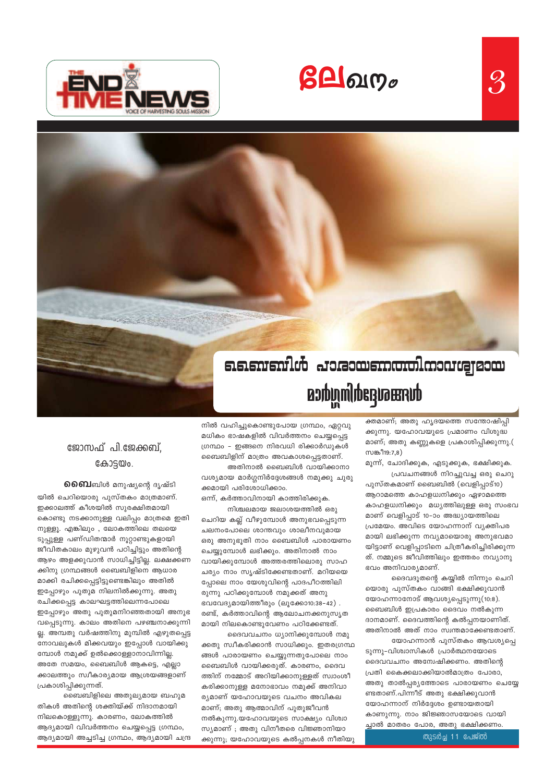$g$ **A** $g$ ungo





durangadhingdaa

നിൽ വഹിച്ചുകൊണ്ടുപോയ ഗ്രന്ഥം, ഏറ്റവു മധികം ഭാഷകളിൽ വിവർത്തനം ചെയ്യപ്പെട്ട ഗ്രന്ഥം - ഇങ്ങനെ നിരവധി രിക്കാർഡുകൾ ബൈബിളിന് മാത്രം അവകാശപ്പെട്ടതാണ്.

അതിനാൽ ബൈബിൾ വായിക്കാനാ വശ്യമായ മാർഗ്ഗനിർദ്ദേശങ്ങൾ നമുക്കു ചുരു ക്കമായി പരിശോധിക്കാം.

ഒന്ന്, കർത്താവിനായി കാത്തിരിക്കുക. നിശ്ചലമായ ജലാശയത്തിൽ ഒരു

ചെറിയ കല്ല് വീഴുമ്പോൾ അനുഭവപ്പെടുന്ന ചലനംപോലെ ശാന്തവും ശാലീനവുമായ ഒരു അനുഭൂതി നാം ബൈബിൾ പാരായണം ചെയ്യുമ്പോൾ ലഭിക്കും. അതിനാൽ നാം വായിക്കുമ്പോൾ അത്തരത്തിലൊരു സാഹ ചര്യം നാം സൃഷ്ടിക്കേണ്ടതാണ്. മറിയയെ പ്പോലെ നാം യേശുവിന്റെ പാദപീഠത്തിലി രുന്നു പഠിക്കുമ്പോൾ നമുക്കത് അനു ഭവവേദ്യമായിത്തീരും (ലൂക്കോ10:38-42) . രണ്ട്, കർത്താവിന്റെ ആലോചനക്കനുസൃത മായി നിലകൊണ്ടുവേണം പഠിക്കേണ്ടത്.

ദൈവവചനം ധ്യാനിക്കുമ്പോൾ നമു ക്കതു സ്വീകരിക്കാൻ സാധിക്കും. ഇതരഗ്രന്ഥ ങ്ങൾ പാരായണം ചെയ്യുന്നതുപോലെ നാം ബൈബിൾ വായിക്കരുത്. കാരണം, ദൈവ ത്തിന് നമ്മോട് അറിയിക്കാനുള്ളത് സ്വാംശീ കരിക്കാനുള്ള മനോഭാവം നമുക്ക് അനിവാ ര്യമാണ് യഹോവയുടെ വചനം അവികല മാണ്; അതു ആത്മാവിന് പുതുജീവൻ നൽകുന്നു.യഹോവയുടെ സാക്ഷ്യം വിശ്വാ സ്യമാണ് ; അതു വിനീതരെ വിജ്ഞാനിയാ ക്കുന്നു; യഹോവയുടെ കൽപ്പനകൾ നീതിയു

### ജോസഫ് പി.ജേക്കബ്, കോട്ടയം.

**ൈബി**ൽ മനുഷ്യന്റെ ദൃഷ്ടി

യിൽ ചെറിയൊരു പുസ്തകം മാത്രമാണ്. ഇക്കാലത്ത് കീശയിൽ സുരക്ഷിതമായി കൊണ്ടു നടക്കാനുള്ള വലിപ്പം മാത്രമെ ഇതി നുള്ളൂ. എങ്കിലും , ലോകത്തിലെ തലയെ ടുപ്പുള്ള പണ്ഡിതന്മാർ നൂറ്റാണ്ടുകളായി ജീവിതകാലം മുഴുവൻ പഠിച്ചിട്ടും അതിന്റെ ആഴം അളക്കുവാൻ സാധിച്ചിട്ടില്ല. ലക്ഷക്കണ ക്കിനു ഗ്രന്ഥങ്ങൾ ബൈബിളിനെ ആധാര മാക്കി രചിക്കപ്പെട്ടിട്ടുണ്ടെങ്കിലും അതിൽ ഇപ്പോഴും പുതുമ നിലനിൽക്കുന്നു. അതു രചിക്കപ്പെട്ട കാലഘട്ടത്തിലെന്നപോലെ ഇപ്പോഴും അതു പുതുമനിറഞ്ഞതായി അനുഭ വപ്പെടുന്നു. കാലം അതിനെ പഴഞ്ചനാക്കുന്നി ല്ല. അമ്പതു വർഷത്തിനു മുമ്പിൽ എഴുതപ്പെട്ട നോവലുകൾ മിക്കവയും ഇപ്പോൾ വായിക്കു മ്പോൾ നമുക്ക് ഉൽക്കൊള്ളാനാവിന്നില്ല അതേ സമയം, ബൈബിൾ ആകട്ടെ, എല്ലാ ക്കാലത്തും സ്വീകാര്യമായ ആശ്രയങ്ങളാണ് പ്രകാശിപ്പിക്കുന്നത്.

ബൈബിളിലെ അതുല്യമായ ബഹുമ തികൾ അതിന്റെ ശക്തിയ്ക്ക് നിദാനമായി നിലകൊള്ളുന്നു. കാരണം, ലോകത്തിൽ ആദ്യമായി വിവർത്തനം ചെയ്യപ്പെട്ട ഗ്രന്ഥം, ആദ്യമായി അച്ചടിച്ച ഗ്രന്ഥം, ആദ്യമായി ചന്ദ്ര ക്തമാണ്; അതു ഹൃദയത്തെ സന്തോഷിപ്പി ക്കുന്നു. യഹോവയുടെ പ്രമാണം വിശുദ്ധ മാണ്; അതു കണ്ണുകളെ പ്രകാശിപ്പിക്കുന്നു.( സങ്കീ19:7,8)

 $\mathcal{S}% _{M_{1},M_{2}}^{\prime }\equiv\mathcal{S}_{M_{1},M_{2}}^{\prime }\equiv\mathcal{S}_{M_{1},M_{2}}^{\prime }\equiv\mathcal{S}_{M_{1},M_{2}}^{\prime }\equiv\mathcal{S}_{M_{1},M_{2}}^{\prime }\equiv\mathcal{S}_{M_{1},M_{2}}^{\prime }\equiv\mathcal{S}_{M_{1},M_{2}}^{\prime }\equiv\mathcal{S}_{M_{1},M_{2}}^{\prime }\equiv\mathcal{S}_{M_{1},M_{2}}^{\prime }\equiv\mathcal{S}_{M_{1},M_{2}}^{\prime }\equiv\mathcal{S}_{M_{1},M_{2}}^{\prime }\equiv\mathcal{S}_{M_{1$ 

മൂന്ന്, ചോദിക്കുക, എടുക്കുക, ഭക്ഷിക്കുക. പ്രവചനങ്ങൾ നിറച്ചുവച്ച ഒരു ചെറു

പുസ്തകമാണ് ബൈബിൽ (വെളിപ്പാട്10) ആറാമത്തെ കാഹളധ്വനിക്കും ഏഴാമത്തെ കാഹളധ്വനിക്കും മധ്യത്തിലുള്ള ഒരു സംഭവ മാണ് വെളിപ്പാട് 10-ാം അദ്ധ്യായത്തിലെ പ്രമേയം. അവിടെ യോഹന്നാന് വ്യക്തിപര മായി ലഭിക്കുന്ന നവ്യമായൊരു അനുഭവമാ യിട്ടാണ് വെളിപ്പാടിനെ ചിത്രീകരിച്ചിരിക്കുന്ന ത്. നമ്മുടെ ജീവിത്തിലും ഇത്തരം നവ്യാനു ഭവം അനിവാര്യമാണ്.

ദൈവദൂതന്റെ കയ്യിൽ നിന്നും ചെറി യൊരു പുസ്തകം വാങ്ങി ഭക്ഷിക്കുവാൻ യോഹന്നാനോട് ആവശ്യപ്പെടുന്നു(10:8). ബൈബിൾ ഇപ്രകാരം ദൈവം നൽകുന്ന ദാനമാണ്. ദൈവത്തിന്റെ കൽപ്പനയാണിത്. അതിനാൽ അത് നാം സ്വന്തമാക്കേണ്ടതാണ്.

യോഹന്നാൻ പുസ്തകം ആവശ്യപ്പെ ടുന്നു-വിശ<mark>്</mark>ധാസികൾ പ്രാർത്ഥനയോടെ ദൈവവചനം അന്വേഷിക്കണം. അതിന്റെ പ്രതി കൈക്കലാക്കിയാൽമാത്രം പോരാ, അതു താൽപ്പര്യത്തോടെ പാരായണം ചെയ്യേ ണ്ടതാണ്.പിന്നീട് അതു ഭക്ഷിക്കുവാൻ യോഹന്നാന് നിർദ്ദേശം ഉണ്ടായതായി കാണുന്നു. നാം ജിജ്ഞാസയോടെ വായി ച്ചാൽ മാതരം പോര, അതു ഭക്ഷിക്കണം.

തുടർച്ച 11 പേജ്ൽ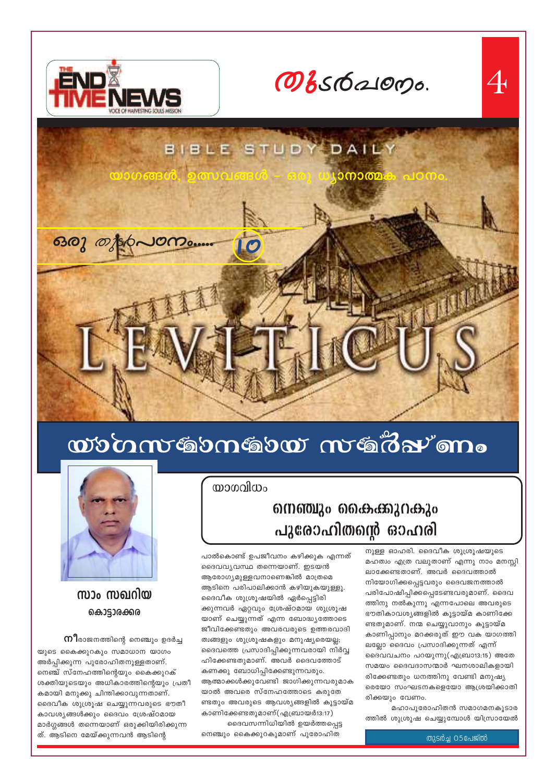

Овебаюрь.



# wommtgomgow mtgomo

പാൽകൊണ്ട് ഉപജീവനം കഴിക്കുക എന്നത്

ദൈവവ്യവസ്ഥ തന്നെയാണ്. ഇടയൻ

ആരോഗ്യമുള്ളവനാണെങ്കിൽ മാത്രമെ

ദൈവീക ശുശ്രൂഷയിൽ ഏർപ്പെട്ടിരി

ആടിനെ പരിപാലിക്കാൻ കഴിയുകയുള്ളൂ.

ക്കുന്നവർ ഏറ്റവും ശ്രേഷ്ഠമായ ശുശ്രൂഷ

യാണ് ചെയ്യുന്നത് എന്ന ബോദ്ധ്യത്തോടെ

ജീവിക്കേണ്ടതും അവരവരുടെ ഉത്തരവാദി

ദൈവത്തെ പ്രസാദിപ്പിക്കുന്നവരായി നിർവ്വ

ആത്മാക്കൾക്കുവേണ്ടി ജാഗിക്കുന്നവരുമാക

ണ്ടതും അവരുടെ ആവശ്<mark>യങ്ങളിൽ കൂട്ടായ്മ</mark>

ദൈവസന്നിധിയിൽ ഉയർത്തപ്പെട്ട

ത്വങ്ങളും ശുശ്രൂഷകളും മനുഷ്യരെയല്ല;

ഹിക്കേണ്ടതുമാണ്. അവർ ദൈവത്തോട്

യാൽ അവരെ സ്നേഹത്തോടെ കരുതേ

കാണിക്കേണ്ടതുമാണ്(എബ്രായർ13:17)

നെഞ്ചും കൈക്കുറകുമാണ് പുരോഹിത

കണക്കു ബോധിപ്പിക്കേണ്ടുന്നവരും.

യാഗവിധം

## 610000120 66630306520 പുരോഹിതന്റെ ഓഹരി

നുള്ള ഓഹരി. ദൈവീക ശുശ്രൂഷയുടെ മഹത്വം എത്ര വലുതാണ് എന്നു നാം മനസ്സി ലാക്കേണ്ടതാണ്. അവർ ദൈവത്താൽ നിയോഗിക്കപ്പെട്ടവരും ദൈവജനത്താൽ പരിപോഷിപ്പിക്കപ്പെടേണ്ടവരുമാണ്. ദൈവ ത്തിനു നൽകുന്നു എന്നപോലെ അവരുടെ ഭൗതികാവശ്യങ്ങളിൽ കൂട്ടായ്മ കാണിക്കേ ണ്ടതുമാണ്. നന്മ ചെയ്യുവാനും കൂട്ടായ്മ കാണിപ്പാനും മറക്കരുത് ഈ വക യാഗത്തി ലല്ലോ ദൈവം പ്രസാദിക്കുന്നത് എന്ന് ദൈവവചനം പറയുന്നു(എബ്രാ13:15) അതേ സമയം ദൈവദാസന്മാർ ഘനശാലികളായി രിക്കേണ്ടതും ധനത്തിനു വേണ്ടി മനുഷ്യ രെയോ സംഘടനകളെയോ ആശ്രയിക്കാതി രിക്കയും വേണം.

മഹാപുരോഹിതൻ സമാഗമനകൂടാര ത്തിൽ ശുശ്രൂഷ ചെയ്യുമ്പോൾ യിസ്രായേൽ

തുടർച്ച O5പേജ്ൽ



സാം സഖറിയ കൊട്ടാരക്കര

 $\mathfrak{m}$ ിരാജനത്തിന്റെ നെഞ്ചും ഉദർച്ച

യുടെ കൈക്കുറകും സമാധാന യാഗം അർപ്പിക്കുന്ന പുരോഹിതനുള്ളതാണ്. നെഞ്ച് സ്നേഹത്തിന്റെയും കൈക്കുറക് ശക്തിയുടെയും അധികാരത്തിന്റെയും പ്രതീ കമായി മനുക്കു ചിന്തിക്കാവുന്നതാണ്. ദൈവീക ശുശ്രൂഷ ചെയ്യുന്നവരുടെ ഭൗതീ കാവശ്യങ്ങൾക്കും ദൈവം ശ്രേഷ്ഠമായ മാർഗ്ഗങ്ങൾ തന്നെയാണ് ഒരുക്കിയിരിക്കുന്ന ത്. ആടിനെ മേയ്ക്കുന്നവൻ ആടിന്റെ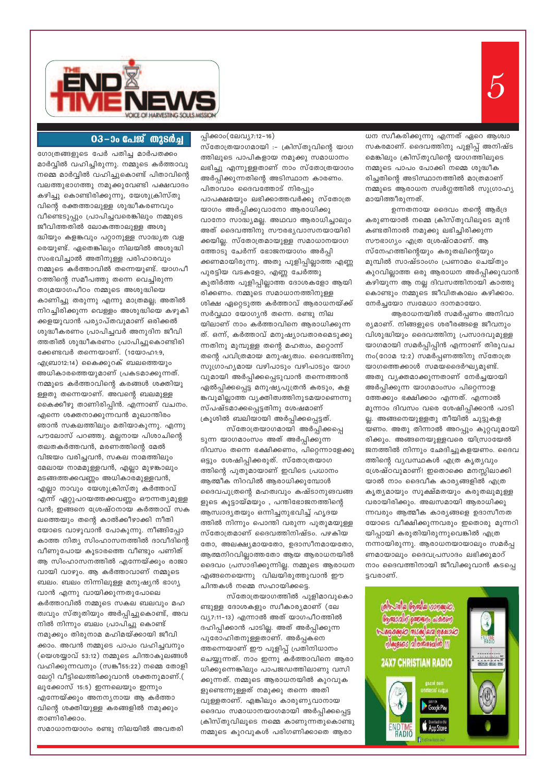

#### 03-ാം പേജ് തുടർച്ച

ഗോത്രങ്ങളുടെ പേർ പതിച്ച മാർപതക്കം മാർവ്വിൽ വഹിച്ചിരുന്നു. നമ്മുടെ കർത്താവു നമ്മെ മാർവ്വിൽ വഹിച്ചുകൊണ്ട് പിതാവിന്റെ വലത്തുഭാഗത്തു നമുക്കുവേണ്ടി പക്ഷവാദം കഴിച്ചു കൊണ്ടിരിക്കുന്നു, യേശുക്രിസ്തു വിന്റെ രക്തത്താലുള്ള ശുദ്ധീകരണവും വീണ്ടെടുപ്പും പ്രാപിച്ചവരെങ്കിലും നമ്മുടെ ജീവിത്തതിൽ ലോകത്താലുള്ള അശു ദ്ധിയും കളങ്കവും പറ്റാനുള്ള സാദ്ധ്യത വള രെയുണ്ട്. ഏതെങ്കിലും നിലയിൽ അശുദ്ധി സംഭവിച്ചാൽ അതിനുള്ള പരിഹാരവും നമ്മുടെ കർത്താവിൽ തന്നെയുണ്ട്. യാഗപീ ഠത്തിന്റെ സമീപത്തു തന്നെ വെച്ചിരുന്ന താമ്രയാഗപീഠം നമ്മുടെ അശുദ്ധിയെ കാണിച്ചു തരുന്നു എന്നു മാത്രമല്ല; അതിൽ നിറച്ചിരിക്കുന്ന വെള്ളം അശുദ്ധിയെ കഴുകി ക്കളയുവാൻ പര്യാപ്തവുമാണ് ഒരിക്കൽ ശുദ്ധീകരണം പ്രാപിച്ചവർ അനുദിന ജീവി ത്തതിൽ ശുദ്ധീകരണം പ്രാപിച്ചുകൊണ്ടിരി ക്കേണ്ടവർ തന്നെയാണ്. (1യോഹ1:9, എബ്രാ12:14) കൈക്കുറക് ബലത്തെയും അധികാരത്തെയുമാണ് പ്രകടമാക്കുന്നത്. നമ്മുടെ കർത്താവിന്റെ കരങ്ങൾ ശക്തിയു ള്ളതു തന്നെയാണ്. അവന്റെ ബലമുള്ള കൈക്കീഴു താണിരിപ്പിൻ. എന്നാണ് വചനം. എന്നെ ശക്തനാക്കുന്നവൻ മുഖാന്തിരം ഞാൻ സകലത്തിലും മതിയാകുന്നു. എന്നു പൗലോസ് പറഞ്ഞു. മല്ലനായ പിശാചിന്റെ തലതകർത്തവൻ, മരണത്തിന്റെ മേൽ വിജയം വരിച്ചവൻ, സകല നാമത്തിലും മേലായ നാമമുള്ളവൻ, എല്ലാ മുഴങ്കാലും മടങ്ങത്തക്കവണ്ണം അധികാരമുള്ളവൻ, എല്ലാ നാവും യേശുക്രിസ്തു കർത്താവ് എന്ന് ഏറ്റുപറയത്തക്കവണ്ണം ഔന്നത്യമുള്ള വൻ; ഇങ്ങനെ ശ്രേഷ്ഠനായ കർത്താവ് സക ലത്തെയും തന്റെ കാൽക്കീഴാക്കി നീതി യോടെ വാഴുവാൻ പോകുന്നു. നീങ്ങിപ്പോ കാത്ത നിത്യ സിംഹാസനത്തിൽ ദാവീദിന്റെ വീണുപോയ കൂടാരത്തെ വീണ്ടും പണിത് ആ സിംഹാസനത്തിൽ എന്നേയ്ക്കും രാജാ വായി വാഴും. ആ കർത്താവാണ് നമ്മുടെ ബലം. ബലം നിന്നിലുള്ള മനുഷ്യൻ ഭാഗ്യ വാൻ എന്നു വായിക്കുന്നതുപോലെ കർത്താവിൽ നമ്മുടെ സകല ബലവും മഹ ത്വവും സ്തുതിയും അർപ്പിച്ചുകൊണ്ട്, അവ നിൽ നിന്നും ബലം പ്രാപിച്ചു കൊണ്ട് നമുക്കും തിരുനാമ മഹിമയ്ക്കായി ജീവി ക്കാം. അവൻ നമ്മുടെ പാപം വഹിച്ചവനും (യെശയ്യാവ് 53:12) നമ്മുടെ ചിന്താകുലങ്ങൾ വഹിക്കുന്നവനും (സങ്കീ55:22) നമ്മെ തോളി ലേറ്റി വീട്ടിലെത്തിക്കുവാൻ ശക്തനുമാണ്.( ലൂക്കോസ് 15:5) ഇന്നലെയും ഇന്നും എന്നേയ്ക്കും അനന്യനായ ആ കർത്താ വിന്റെ ശക്തിയുള്ള കരങ്ങളിൽ നമുക്കും താണിരിക്കാം.

സമാധാനയാഗം രണ്ടു നിലയിൽ അവതരി

പ്പിക്കാം(ലേവ്യ7:12-16) സ്തോത്രയാഗമായി :- ക്രിസ്തുവിന്റെ യാഗ ത്തിലൂടെ പാപികളായ നമുക്കു സമാധാനം ലഭിച്ചു എന്നുള്ളതാണ് നാം സ്തോത്രയാഗം അർപ്പിക്കുന്നതിന്റെ അടിസ്ഥാന കാരണം. പിതാവാം ദൈവത്തോട് നിരപ്പും പാപക്ഷമയും ലഭിക്കാത്തവർക്കു സ്തോത്ര യാഗം അർപ്പിക്കുവാനോ ആരാധിക്കു വാനോ സാദ്ധ്യമല്ല. അഥവാ ആരാധിച്ചാലും അത് ദൈവത്തിനു സൗരഭ്യവാസനയായിരി ക്കയില്ല. സ്തോത്രമായുള്ള സമാധാനയാഗ ത്തോടു ചേർന്ന് ഭോജനയാഗം അർപ്പി ക്കണമായിരുന്നു. അതു പുളിപ്പില്ലാത്ത എണ്ണ പുരട്ടിയ വടകളോ, എണ്ണ ചേർത്തു കുതിർത്ത പുളിപ്പില്ലാത്ത ദോശകളോ ആയി രിക്കണം. നമ്മുടെ സമാധാനത്തിനുള്ള ശിക്ഷ ഏറ്റെടുത്ത കർത്താവ് ആരാധനയ്ക്ക് സർവ്വഥാ യോഗ്യൻ തന്നെ. രണ്ടു നില യിലാണ് നാം കർത്താവിനെ ആരാധിക്കുന്ന ത്. ഒന്ന്, കർത്താവ് മനുഷ്യാവതാരമെടുക്കു ന്നതിനു മുമ്പുള്ള തന്റെ മഹത്വം, മറ്റൊന്ന് തന്റെ പവിത്രമായ മനുഷ്യത്വം. ദൈവത്തിനു സുഗ്രാഹ്യമായ വഴിപാടും വഴിപാടും യാഗ വുമായി അർപ്പിക്കപ്പെടുവാൻ തന്നെത്താൻ ഏൽപ്പിക്കപ്പെട്ട മനുഷ്യപുത്രൻ കരടും, കള ങ്കവുമില്ലാത്ത വ്യക്തിത്വത്തിനുടമയാണെന്നു സ്പഷ്ടമാക്കപ്പെട്ടതിനു ശേഷമാണ് ക്രൂശിൽ ബലിയായി അർപ്പിക്കപ്പെട്ടത്.

സ്തോത്രയാഗമായി അർപ്പിക്കപ്പെ ടുന്ന യാഗമാംസം അത് അർപ്പിക്കുന്ന ദിവസം തന്നെ ഭക്ഷിക്കണം, പിറ്റെന്നാളേക്കു ഒട്ടും ശേഷിപ്പിക്കരുത്. സ്തോത്രയാഗ ത്തിന്റെ പുതുമായാണ് ഇവിടെ പ്രധാനം ആത്മീക നിറവിൽ ആരാധിക്കുമ്പോൾ ദൈവപുത്രന്റെ മഹത്വവും കഷ്ടാനുങവങ്ങ ളുടെ കൂട്ടായ്മയും , പന്തിഭോജനത്തിന്റെ ആസ്വാദൃതയും ഒന്നിച്ചനുഭവിച്ച് ഹൃദയ ത്തിൽ നിന്നും പൊന്തി വരുന്ന പുതുമയുള്ള സ്തോത്രമാണ് ദൈവത്തിനിഷ്ടം. പഴകിയ തോ, അലക്ഷ്യമായതോ, ഉദാസീനമായതോ, ആത്മനിറവില്ലാത്തതോ ആയ ആരാധനയിൽ ദൈവം പ്രസാദിക്കുന്നില്ല. നമ്മുടെ ആരാധന എങ്ങനെയെന്നു വിലയിരുത്തുവാൻ ഈ ചിന്തകൾ നമ്മെ സഹായിക്കട്ടെ.

സ്തോത്രയാഗത്തിൽ പുളിമാവുകൊ ണ്ടുള്ള ദോശകളും സ്വീകാര്യമാണ് (ലേ വ്യ7:11-13) എന്നാൽ അത് യാഗപീഠത്തിൽ ദഹിപ്പിക്കാൻ പാടില്ല. അത് അർപ്പിക്കുന്ന പുരോഹിതനുള്ളതാണ്. അർപ്പകനെ ത്തന്നെയാണ് ഈ പുളിപ്പ് പ്രതിനിധാനം ചെയ്യുന്നത്. നാം ഇന്നു കർത്താവിനെ ആരാ ധിക്കുന്നെങ്കിലും പാപജഡത്തിലാണു വസി ക്കുന്നത്. നമ്മുടെ ആരാധനയിൽ കുറവുക ളുണ്ടെന്നുള്ളത് നമുക്കു തന്നെ അതി വുള്ളതാണ്. എങ്കിലും കാരുണ്യവാനായ ദൈവം സമാധാനയാഗമായി അർപ്പിക്കപ്പെട്ട ക്രിസ്തുവിലൂടെ നമ്മെ കാണുന്നതുകൊണ്ടു നമ്മുടെ കുറവുകൾ പരിഗണിക്കാതെ ആരാ

ധന സ്വീകരിക്കുന്നു എന്നത് ഏറെ ആശ്വാ സകരമാണ്. ദൈവത്തിനു പുളിപ്പ് അനിഷ്ട മെങ്കിലും ക്രിസ്തുവിന്റെ യാഗത്തിലൂടെ നമ്മുടെ പാപം പോക്കി നമ്മെ ശുദ്ധീക രിച്ചതിന്റെ അടിസ്ഥാനത്തിൽ മാത്രമാണ് നമ്മുടെ ആരാധന സ്വർഗ്ഗത്തിൽ സുഗ്രാഹ്യ മായിത്തീരുന്നത്.

ഉന്നതനായ ദൈവം തന്റെ ആർദ്ര കരുണയാൽ നമ്മെ ക്രിസ്തുവിലൂടെ മുൻ കണ്ടതിനാൽ നമുക്കു ലഭിച്ചിരിക്കുന്ന സൗഭാഗ്യം എത്ര ശ്രേഷ്ഠമാണ്. ആ സ്നേഹത്തിന്റെയും കരുതലിന്റെയും മുമ്പിൽ സാഷ്ടാംഗം പ്രണാമം ചെയ്തും കുറവില്ലാത്ത ഒരു ആരാധന അർപ്പിക്കുവാൻ കഴിയുന്ന ആ നല്ല ദിവസത്തിനായി കാത്തു കൊണ്ടും നമ്മുടെ ജീവിതകാലം കഴിക്കാം. നേർച്ചയോ സ്വമേധാ ദാനമായോ.

ആരാധനയിൽ സമർപ്പണം അനിവാ ര്യമാണ്. നിങ്ങളുടെ ശരീരങ്ങളെ ജീവനും വിശുദ്ധിയും ദൈവത്തിനു പ്രസാദവുമുള്ള യാഗമായി സമർപ്പിപ്പിൻ എന്നാണ് തിരുവച നം(റോമ 12:2) സമർപ്പണത്തിനു സ്തോത്ര യാഗത്തെക്കാൾ സമയദൈർഘ്യമുണ്ട്. അതു വൃക്തമാക്കുന്നതാണ് നേർച്ചയായി അർപ്പിക്കുന്ന യാഗമാംസം പിറ്റെന്നാള ത്തേക്കും ഭക്ഷിക്കാം എന്നത്. എന്നാൽ മൂന്നാം ദിവസം വരെ ശേഷിപ്പിക്കാൻ പാടി ല്ല. അങ്ങനെയുള്ളതു തീയിൽ ചുട്ടുകള യണം. അതു തിന്നാൽ അറപ്പും കുറ്റവുമായി രിക്കും. അങ്ങനെയുള്ളവരെ യിസ്രായേൽ ജനത്തിൽ നിന്നും ഛേദിച്ചുകളയണം. ദൈവ ത്തിന്റെ വ്യവസ്ഥകൾ എത്ര കൃത്യവും ശ്രേഷ്ഠവുമാണ്! ഇതൊക്കെ മനസ്സിലാക്കി യാൽ നാം ദൈവീക കാര്യങ്ങളിൽ എത്ര കൃത്യമായും സൂക്ഷ്മതയും കരുതലുമുള്ള വരായിരിക്കും. അലസമായി ആരാധിക്കു ന്നവരും ആത്മീക കാര്യങ്ങളെ ഉദാസീനത യോടെ വീക്ഷിക്കുന്നവരും ഇതൊരു മുന്നറി യിപ്പായി കരുതിയിരുന്നുവെങ്കിൽ എത്ര നന്നായിരുന്നു. ആരാധനയായാലും സമർപ്പ ണമായാലും ദൈവപ്രസാദം ലഭിക്കുമാറ് നാം ദൈവത്തിനായി ജീവിക്കുവാൻ കടപ്പെ ട്ടവരാണ്.



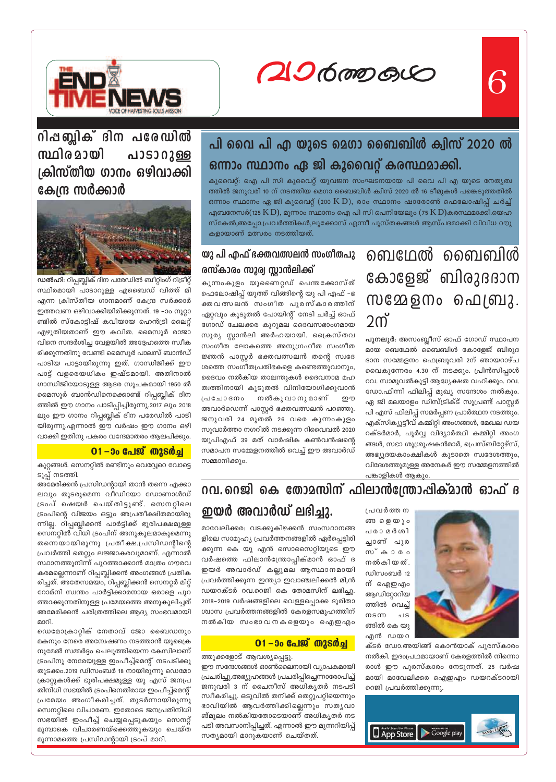6

20600000



## പി വൈ പി എ യുടെ മെഗാ ബൈബിൾ ക്വിസ് 2020 ൽ ഒന്നാം സ്ഥാനം ഏ ജി കൂവൈറ്റ് കരസ്ഥമാക്കി.

കുവൈറ്റ്: ഐ പി സി കുവൈറ്റ് യുവജന സംഘടനയായ പി വൈ പി എ യുടെ നേതൃത്വ ത്തിൽ ജനുവരി 10 ന് നടത്തിയ മെഗാ ബൈബിൾ ക്വിസ് 2020 ൽ 16 ടീമുകൾ പങ്കെടുത്തതിൽ ഒന്നാം സ്ഥാനം ഏ ജി കുവൈറ്റ് (200  $\operatorname{K}$   $\operatorname{D}$ ), രാം സ്ഥാനം ഷാരോൺ ഫെലോഷിപ്പ് ചർച്ച് എബനേസർ(125  $\rm{K}$  D), മൂന്നാം സ്ഥാനം ഐ പി സി പെനിയേലും (75  $\rm{K}$  D)കരസ്ഥമാക്കി.യെഹ സ്കേൽ,അപ്പോ.പ്രവർത്തികൾ,ലൂക്കോസ് എന്നീ പുസ്തകങ്ങൾ ആസ്പദമാക്കി വിവിധ റൗു കളായാണ് മത്സരം നടത്തിയത്.

> ബെഥേൽ ബൈബിൾ കോളേജ് ബിരുദദാന സമ്മേളനം പെബ്രു. 2ന്

> പുനലൂർ: അസംബ്ലീസ് ഓഫ് ഗോഡ് സ്ഥാപന മായ ബെഥേൽ ബൈബിൾ കോളേജ് ബിരുദ ദാന സമ്മേളനം ഫെബ്രുവരി 2ന് ഞായറാഴ്ച വൈകുന്നേരം 4.30 ന് നടക്കും. പ്രിൻസിപ്പാൾ റവ. സാമുവൽകുട്ടി ആദ്ധ്യക്ഷത വഹിക്കും. റവ. ഡോ.ഫിന്നി ഫിലിപ്പ് മുഖ്യ സന്ദേശം നൽകും. ഏ ജി മലയാളം ഡിസ്ട്രിക്ട് സൂപ്രണ്ട് പാസ്റ്റർ പി എസ് ഫിലിപ്പ് സമർപ്പണ പ്രാർത്ഥന നടത്തും. എക്സിക്യൂട്ടീവ് കമ്മിറ്റി അംഗങ്ങൾ, മേഖല ഡയ റക്ടർമാർ, പൂർവ്വ വിദ്യാർത്ഥി കമ്മിറ്റി അംഗ ങ്ങൾ, സഭാ ശുശ്രൂഷകൻമാർ, പ്രെസ്ബിറ്റേഴ്സ്, അഭ്യൂദയകാംക്ഷികൾ കൂടാതെ സ്വദേശത്തും, വിദേശത്തുമുള്ള അനേകർ ഈ സമ്മേളനത്തിൽ പങ്കാളികൾ ആകും.

### യു പി എഫ് ഭക്തവത്സലൻ സംഗീതപു രസ്കാരം സൂര്വ സ്റ്റാൻലിക്ക്

കുന്നംകുളം യുണൈറ്റഡ് പെന്തക്കോസ്ത് ഫെലോഷിപ്പ് യൂത്ത് വിങ്ങിന്റെ യു പി എഫ് –ഭ കതവത്സലൻ സംഗീത പുരസ്കാരത്ത<mark>ി</mark>ന് ഏറ്റവും കൂടുതൽ പോയിന്റ് നേടി ചർച്ച<mark>്</mark> ഓഫ് ഗോഡ് ചേലക്കര കുറുമല ദൈവസഭാംഗമായ സൂര്യ സ്റ്റാൻലി അർഹയായി. ക്രൈസ്തവ സംഗീത ലോകത്തെ അനുഗ്രഹീത സംഗീത ജ്ഞൻ പാസ്റ്റർ ഭക്തവത്സലൻ തന്റെ സ്വദേ ശത്തെ സംഗീതപ്രതിഭകളെ കണ്ടെത്തുവാനും, ദൈവം നൽകിയ താലന്തുകൾ ദൈവനാമ മഹ ത്വത്തിനായി കൂടുതൽ വിനിയോഗിക്കുവ<mark>ാ</mark>ൻ പ്രചോദനം നൽകു വാനു മാണ് .<br>അവാർഡെന്ന് പാസ്കർ ഭക്തവത്സലൻ പറഞ്ഞു. ജനുവരി 24 മുതൽ 26 വരെ കുന്നംകുളം സുവാർത്താ നഗറിൽ നടക്കുന്ന റിവൈവൽ 2020 യുപിഎഫ് 39 മത് വാർഷിക കൺവൻഷന്റെ സമാപന സമ്മേളനത്തിൽ വെച്ച് ഈ അവാർഡ് സമ്മാനിക്കും.



പ്രവർത്തന ങ്ങളെയും പരാമർശി ച്ചാണ് പുര സ്കാരം നൽകിയത്. ഡിസംബർ 12 ന് ഐഇഎം ആഡിറ്റോറിയ ത്തിൽ വെച്ച്  $m$ s $m$ ചട ങ്ങിൽ കെ യു എൻ ഡയറ

ക്ടർ ഡോ.അയിങ്ങ് കൊൻയാക് പുരസ്കാരം നൽകി. ഇദംപ്രഥമായാണ് കേരളത്തിൽ നിന്നൊ രാൾ ഈ പുരസ്കാരം നേടുന്നത്. 25 വർഷ മായി മാവേലിക്കര ഐഇഎം ഡയറക്ടറായി റെജി പ്രവർത്തിക്കുന്നു.



### ഇയർ അവാർഡ് ലഭിച്ചു. മാവേലിക്കര: വടക്കുകിഴക്കൻ സംസ്ഥാനങ്ങ

ളിലെ സാമൂഹ്യ പ്രവർത്തനങ്ങളിൽ ഏർപ്പെട്ടിരി ക്കുന്ന കെ യു എൻ സൊസൈറ്റിയുടെ ഈ വർഷത്തെ ഫിലാൻസ്ത്രോപ്പിക്മാൻ ഓഫ് ദ ഇയർ അവാർഡ് കല്ലുമല ആസ്ഥാനമായി പ്രവർത്തിക്കുന്ന ഇന്ത്യാ ഇവാഞ്ചലിക്കൽ മി,ൻ ഡയറക്ടർ റവ.റെജി കെ തോമസിന് ലഭിച്ചു. 2018-2019 വർഷങ്ങളിലെ വെള്ളപ്പൊക്ക ദുരിതാ ശ്വാസ പ്രവർത്തനങ്ങളിൽ കേരളസമൂഹത്തിന് നൽകിയ സംഭാവനകളെയും ഐഇഎം

#### $01 - 3$ ം പേജ് തുടർച്ച

ത്തുക്കളോട് ആവശ്യപ്പെട്ടു.

ഈ സന്ദേശങ്ങൾ ഓൺലൈനായി വ്യാപകമായി പ്രചരിച്ചു.അഭ്യൂഹങ്ങൾ പ്രചരിപ്പിച്ചെന്നാരോപിച്ച് ജനുവരി 3 ന് ചൈനീസ് അധികൃതർ നടപടി സ്ഥീകരിച്ചു. ഒടുവിൽ തനിക്ക് തെറ്റുപറ്റിയെന്നും ഭാവിയിൽ ആവർത്തിക്കില്ലെന്നും സതൃവാ ങ്മൂലം നൽകിയതോടെയാണ് അധികൃതർ നട പടി അവസാനിപ്പിച്ചത്. എന്നാൽ ഈ മുന്നറിയിപ്പ് സത്യമായി മാറുകയാണ് ചെയ്തത്.

<u> റിപ്പബ്ലിക് ദിന പരേഡിൽ</u> സ്ഥിര മായി പാടാറുള്ള ക്രിസ്തീയ ഗാനം ഒഴിവാക്കി കേന്ദ്ര സർക്കാർ



ഡൽഹി: റിപ്പബ്ലിക് ദിന പരേഡിൽ ബീറ്റിംഗ് റിട്രീറ്റ് സ്ഥിരമായി പാടാറുള്ള എബൈഡ് വിത്ത് മി എന്ന ക്രിസ്തീയ ഗാനമാണ് കേന്ദ്ര സർക്കാർ ഇത്തവണ ഒഴിവാക്കിയിരിക്കുന്നത്. 19 –ാം നൂറ്റാ ണ്ടിൽ സ്കോട്ടിഷ് കവിയായ ഹെൻട്രി ലൈറ്റ് എഴുതിയതാണ് ഈ കവിത. മൈസൂർ രാജാ വിനെ സന്ദർശിച്ച വേളയിൽ അദ്ദേഹത്തെ സ്വീക രിക്കുന്നതിനു വേണ്ടി മൈസൂർ പാലസ് ബാൻഡ് പാടിയ പാട്ടായിരുന്നു ഇത്. ഗാന്ധിജിക്ക് ഈ പാട്ട് വളരെയധികം ഇഷ്ടമായി. അതിനാൽ ഗാന്ധിജിയോടുള്ള ആദര സൂചകമായി 1950 ൽ മൈസൂർ ബാൻഡിനെക്കൊണ്ട് റിപ്പബ്ലിക് ദിന ത്തിൽ ഈ ഗാനം പാടിപ്പിച്ചിരുന്നു.2017 ലും 2018 ലും ഈ ഗാനം റിപ്പബ്ലിക് ദിന പരേഡിൽ പാടി യിരുന്നു.എന്നാൽ ഈ വർഷം ഈ ഗാനം ഒഴി വാക്കി ഇതിനു പകരം വന്ദേമാതരം ആലപിക്കും.

#### $01 - 30$  പേജ് തുടർച്ച

കുറ്റങ്ങൾ. സെനറ്റിൽ രണ്ടിനും വെവ്വേറെ വോട്ടെ ടുപ്പ് നടത്തി.

അമേരിക്കൻ പ്രസിഡന്റായി താൻ തന്നെ എക്കാ ലവും തുടരുമെന്ന വീഡിയോ ഡോണാൾഡ് ട്രംപ് ഷെയർ ചെയ്തിട്ടുണ്ട്. സെനറ്റിലെ ട്രംപിന്റെ വിജയം ഒട്ടും അപ്രതീക്ഷിതമായിരു ന്നില്ല. റിപ്പബ്ലിക്കൻ പാർട്ടിക്ക് ഭൂരിപക്ഷമുള്ള സെനറ്റിൽ വിധി ട്രംപിന് അനുകൂലമാകുമെന്നു തന്നെയായിരുന്നു പ്രതീക്ഷ.പ്രസിഡന്റിന്റെ പ്രവർത്തി തെറ്റും ലജ്ജാകരവുമാണ്. എന്നാൽ സ്ഥാനത്തുനിന്ന് പുറത്താക്കാൻ മാത്രം ഗൗരവ കരമല്ലെന്നാണ് റിപ്പബ്ലിക്കൻ അംഗങ്ങൾ പ്രതിക രിച്ചത്. അതേസമയം, റിപ്പബ്ലിക്കൻ സെനറ്റർ മിറ്റ് റോമ്നി സ്വന്തം പാർട്ടിക്കാരനായ ഒരാളെ പുറ ത്താക്കുന്നതിനുള്ള പ്രമേയത്തെ അനുകൂലിച്ചത് അമേരിക്കൻ ചരിത്രത്തിലെ ആദ്യ സംഭവമായി മാറി

ഡെമോക്രാറ്റിക് നേതാവ് ജോ ബൈഡനും മകനും നേരെ അന്വേഷണം നടത്താൻ യുക്രൈ നുമേൽ സമ്മർദ്ദം ചെലുത്തിയെന്ന കേസിലാണ് ട്രംപിനു നേരേയുള്ള ഇംപീച്ച്മെന്റ് നടപടിക്കു തുടക്കം.2019 ഡിസംബർ 18 നായിരുന്നു ഡെമോ ക്രാറ്റുകൾക്ക് ഭൂരിപക്ഷമുള്ള യു എസ് ജനപ്ര തിനിധി സഭയിൽ ട്രംപിനെതിരായ ഇംപീച്ച്മെന്റ് പ്രമേയം അംഗീകരിച്ചത്. തുടർന്നായിരുന്നു സെനറ്റിലെ വിചാരണ. ഇതോടെ ജനപ്രതിനിധി സഭയിൽ ഇംപീച്ച് ചെയ്യപ്പെടുകയും സെനറ്റ് മുമ്പാകെ വിചാരണയ്ക്കെത്തുകയും ചെയ്ത മൂന്നാമത്തെ പ്രസിഡന്റായി ട്രംപ് മാറി.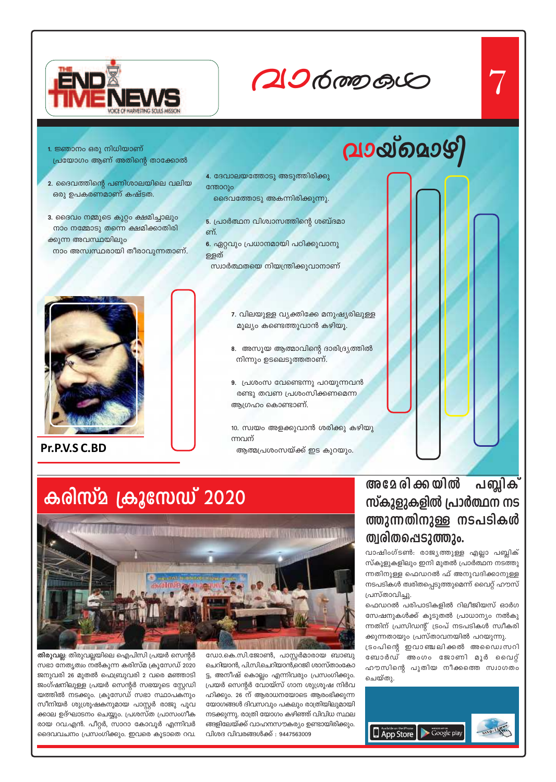

# $206$  mp  $60$

- 1. ജ്ഞാനം ഒരു നിധിയാണ് പ്രയോഗം ആണ് അതിന്റെ താക്കോൽ
- 2. ദൈവത്തിന്റെ പണിശാലയിലെ വലിയ ഒരു ഉപകരണമാണ് കഷ്ടത.
- 3. ദൈവം നമ്മുടെ കുറ്റം ക്ഷമിച്ചാലും നാം നമ്മോടു തന്നെ ക്ഷമിക്കാതിരി ക്കുന്ന അവസ്ഥയിലും നാം അസ്വസ്ഥരായി തീരാവുന്നതാണ്.
- 
- 4. ദേവാലയത്തോടു അടുത്തിരിക്കു ന്തോറും
- ദൈവത്തോടു അകന്നിരിക്കുന്നു.
- 5. പ്രാർത്ഥന വിശ്വാസത്തിന്റെ ശബ്ദമാ ണ്.
- 6. ഏറ്റവും പ്രധാനമായി പഠിക്കുവാനു ള്ളത്
- സ്വാർത്ഥതയെ നിയന്ത്രിക്കുവാനാണ്



Pr.P.V.S C.BD

- 7. വിലയുള്ള വ്യക്തിക്കേ മനുഷ്യരിലുള്ള മുല്യം കണ്ടെത്തുവാൻ കഴിയു.
- 8. അസൂയ ആത്മാവിന്റെ ദാരിദ്ര്യത്തിൽ നിന്നും ഉടലെടുത്തതാണ്.
- 9. പ്രശംസ വേണ്ടെന്നു പറയുന്നവൻ രണ്ടു തവണ പ്രശംസിക്കണമെന്ന ആഗ്രഹം കൊണ്ടാണ്.

10. സ്വയം അളക്കുവാൻ ശരിക്കു കഴിയു ന്നവന് ആത്മപ്രശംസയ്ക്ക് ഇട കുറയും.

#### അമേ രി ക്ക യിൽ പബ്ലിക് സ്കുളുകളിൽ പ്രാർത്ഥന നട ത്തുന്നതിനുള്ള നടപടികൾ ത്വരിതപ്പെടുത്തും.

വാഷിംഗ്ടൺ: രാജ്യത്തുള്ള എല്ലാ പബ്ലിക് സ്കൂളുകളിലും ഇനി മുതൽ പ്രാർത്ഥന നടത്തു ന്നതിനുള്ള ഫെഡറൽ ഫ് അനുവദിക്കാനുള്ള നടപടികൾ ത്വരിതപ്പെടുത്തുമെന്ന് വൈറ്റ് ഹൗസ് പ്രസ്താവിച്ചു.

ഫെഡറൽ പരിപാടികളിൽ റിലീജിയസ് ഓർഗ സേഷനുകൾക്ക് കൂടുതൽ പ്രാധാന്യം നൽകു ന്നതിന് പ്രസിഡന്റ് ട്രംപ് നടപടികൾ സ്വീകരി ക്കുന്നതായും പ്രസ്താവനയിൽ പറയുന്നു.

ട്രംപിന്റെ ഇവാഞ്ചലിക്കൽ അഡൈസറി ബോർഡ് അംഗം ജോണി മൂർ വൈറ്റ് ഹൗസിന്റെ പുതിയ നീക്കത്തെ സ്വാഗതം ചെയ്തു.





തിരുവല്ല: തിരുവല്ലയിലെ ഐപിസി പ്രയർ സെന്റർ സഭാ നേതൃത്വം നൽകുന്ന കരിസ്മ ക്രൂസേഡ് 2020 ജനുവരി 26 മുതൽ ഫെബ്രുവരി 2 വരെ മഞ്ഞാടി ജംഗ്ഷനിലുള്ള പ്രയർ സെന്റർ സഭയുടെ സ്റ്റേഡി യത്തിൽ നടക്കും. ക്രൂസേഡ് സഭാ സ്ഥാപകനും സീനിയർ ശുശ്രൂഷകനുമായ പാസ്റ്റർ രാജു പൂവ ക്കാല ഉദ്ഘാടനം ചെയ്യും. പ്രശസ്ത പ്രാസംഗീക രായ റവ.എൻ. പീറ്റർ, സാറാ കോവൂർ എന്നിവർ ദൈവവചനം പ്രസംഗിക്കും. ഇവരെ കൂടാതെ റവ.

ഡോ.കെ.സി.ജോൺ, പാസ്റ്റർമാരായ ബാബു ചെറിയാൻ, പി.സി.ചെറിയാൻ,റെജി ശാസ്താംകോ ട്ട, അനീഷ് കൊല്ലം എന്നിവരും പ്രസംഗിക്കും. പ്രയർ സെന്റർ വോയ്സ് ഗാന ശുശ്രൂഷ നിർവ ഹിക്കും. 26 ന് ആരാധനയോടെ ആരംഭിക്കുന്ന യോഗങ്ങൾ ദിവസവും പകലും രാത്രിയിലുമായി നടക്കുന്നു. രാത്രി യോഗം കഴിഞ്ഞ് വിവിധ സ്ഥല ങ്ങളിലേയ്ക്ക് വാഹനസൗകര്യം ഉണ്ടായിരിക്കും. വിശദ വിവരങ്ങൾക്ക് : 9447563009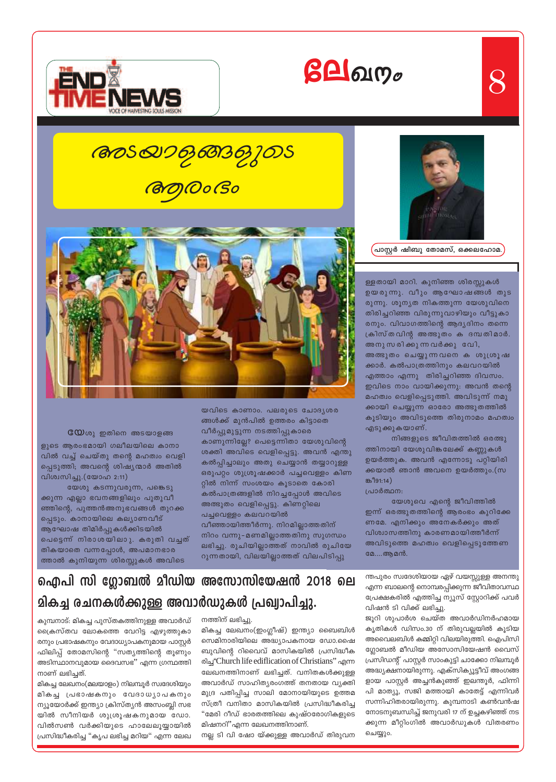





 $8$ 

പ്രാസ്റ്റർ ഷിബു തോമസ്, ഒക്കലഹോമ.<sub>,</sub>

ള്ളതായി മാറി. കുനിഞ്ഞ ശിരസ്സുകൾ ഉയരുന്നു. വീും ആഘോഷങ്ങൾ തുട രുന്നു. ശൂന്യത നികത്തുന്ന യേശുവിനെ തിരിച്ചറിഞ്ഞ വിരുന്നുവാഴിയും വീട്ടുകാ രനും. വിവാഗത്തിന്റെ ആദ്യദിനം തന്നെ ക്രിസ്തവിന്റ അത്ഭുതം ക ദമ്പതിമാർ. അനു സ രിക്കു ന്ന വർക്കു വേി, അത്ഭുതം ചെയ്യുന്നവനെ ക ശുശ്രൂഷ ക്കാർ. കൽപാത്രത്തിനും കലവറയിൽ എത്താം എന്നു തിരിച്ചറിഞ്ഞ ദിവസം. ഇവിടെ നാം വായിക്കുന്നു: അവൻ തന്റെ മഹത്വം വെളിപ്പെടുത്തി. അവിടുന്ന് നമു ക്കായി ചെയ്യുന്ന ഓരോ അത്ഭുതത്തിൽ കൂടിയും അവിടുത്തെ തിരുനാമം മഹത്വം എടുക്കുകയാണ്.

നിങ്ങളുടെ ജീവിതത്തിൽ ഒരത്ഭു ത്തിനായി യേശുവിങ്കലേക്ക് കണ്ണുകൾ ഉയർത്തുക. അവൻ എന്നോടു പറ്റിയിരി ക്കയാൽ ഞാൻ അവനെ ഉയർത്തും.(സ ස<sup>191:14</sup>)

പ്രാർത്ഥന:

യേശുവെ എന്റെ ജീവിത്തിൽ

ഇന്ന് ഒരത്ഭുതത്തിന്റെ ആരംഭം കുറിക്കേ ണമേ. എനിക്കും അനേകർക്കും അത് വിശ്വാസത്തിനു കാരണമായിത്തീർന്ന് അവിടുത്തെ മഹത്വം വെളിപ്പെടുത്തേണ മേ....ആമൻ.

ന്തപുരം സ്വദേശിയായ ഏഴ് വയസ്സുള്ള അനന്തു എന്ന ബാലന്റെ നൊമ്പരപ്പിക്കുന്ന ജീവിതാവസ്ഥ പ്രേക്ഷകരിൽ എത്തിച്ച ന്യൂസ് സ്റ്റോറിക്ക് പവർ വിഷൻ ടി വിക്ക് ലഭിച്ചു.

ജൂറി ശുപാർശ ചെയ്ത അവാർഡിനർഹമായ കൃതികൾ ഡിസം.30 ന് തിരുവല്ലയിൽ കൂടിയ അവൈലബിൾ കമ്മിറ്റി വിലയിരുത്തി. ഐപിസി ഗ്ലോബൽ മീഡിയ അസോസിയേഷൻ വൈസ് പ്രസിഡന്റ് പാസ്റ്റർ സാംകുട്ടി ചാക്കോ നിലമ്പൂർ അദ്ധ്യക്ഷനായിരുന്നു. എക്സിക്യൂട്ടീവ് അംഗങ്ങ ളായ പാസ്റ്റർ അച്ചൻകുഞ്ഞ് ഇലന്തൂർ, ഫിന്നി പി മാത്യൂ, സജി മത്തായി കാതേട്ട് എന്നിവർ സന്നിഹിതരായിരുന്നു. കുമ്പനാടി കൺവൻഷ നോടനുബന്ധിച്ച് ജനുവരി 17 ന് ഉച്ചകഴിഞ്ഞ് നട ക്കുന്ന മീറ്റിംഗിൽ അവാർഡുകൾ വിതരണം ചെയ്യും.

**അടയാകൃങ്ങക്വുക്ക BOOOGO** 



 $\mathbf{CQ}$ ശു ഇതിനെ അടയാളങ്ങ ളുടെ ആരംഭമായി ഗലീലയിലെ കാനാ വിൽ വച്ച് ചെയ്തു തന്റെ മഹത്വം വെളി പ്പെടുത്തി; അവന്റെ ശിഷ്യന്മാർ അതിൽ വിശ്വസിച്ചു.(യോഹ 2:11)

യേശു കടന്നുവരുന്ന, പങ്കെടു ക്കുന്ന എല്ലാ ഭവനങ്ങളിലും പുതുവീ ഞ്ഞിന്റെ, പുത്തൻഅനുഭവങ്ങൾ തുറക്ക പ്പെടും. കാനായിലെ കല്യാണവീട് ആഘോഷ തിമിർപ്പുകൾക്കിടയിൽ പെട്ടെന്ന് നിരാശയിലാു. കരുതി വച്ചത് തികയാതെ വന്നപ്പോൾ, അപമാനഭാര ത്താൽ കുനിയുന്ന ശിരസ്സുകൾ അവിടെ

യവിടെ കാണാം. പലരുടെ ചോദൃശര ങ്ങൾക്ക് മുൻപിൽ ഉത്തരം കിട്ടാതെ വീർപ്പുമുട്ടുന്ന നടത്തിപ്പുകാരെ കാണുന്നില്ലേ? പെട്ടെന്നിതാ യേശുവിന്റെ ശക്തി അവിടെ വെളിപ്പെട്ടു. അവൻ എന്തു കൽപ്പിച്ചാലും അതു ചെയ്യാൻ തയ്യാറുള്ള ഒരുപറ്റം ശുശ്രൂഷക്കാർ പച്ചവെള്ളം കിണ റ്റിൽ നിന്ന് സംശയം കൂടാതെ കോരി കൽപാത്രങ്ങളിൽ നിറച്ചപ്പോൾ അവിടെ അത്ഭുതം വെളിപ്പെട്ടു. കിണറ്റിലെ പച്ചവെള്ളം കലവറയിൽ വീഞ്ഞായിത്തീർന്നു. നിറമില്ലാത്തതിന് നിറം വന്നു-മണമില്ലാത്തതിനു സുഗന്ധം ലഭിച്ചു. രുചിയില്ലാത്തത് നാവിൽ രുചിയേ റുന്നതായി, വിലയില്ലാത്തത് വിലപിടിപ്പു

ഐപി സി ഗ്ലോബൽ മീഡിയ അസോസിയേഷൻ 2018 ലെ മികച്ച രചനകൾക്കുള്ള അവാർഡുകൾ പ്രഖ്വാപിച്ചു.

കുമ്പനാട്: മികച്ച പുസ്തകത്തിനുള്ള അവാർഡ് ക്രൈസ്തവ ലോകത്തെ വേറിട്ട എഴുത്തുകാ രനും പ്രഭാഷകനും വേദാധ്യാപകനുമായ പാസ്റ്റർ ഫിലിപ്പ് തോമസിന്റെ "സത്യത്തിന്റെ തൂണും അടിസ്ഥാനവുമായ ദൈവസഭ" എന്ന ഗ്രന്ഥത്തി നാണ് ലഭിച്ചത്.

മികച്ച ലേഖനം(മലയാളം) നിലമ്പൂർ സ്വദേശിയും മികച്ച പ്രഭാഷകനും വേദാധ്യാപകനും ന്യൂയോർക്ക് ഇന്ത്യാ ക്രിസ്ത്യൻ അസംബ്ലി സഭ യിൽ സീനിയർ ശുശ്രൂഷകനുമായ ഡോ. വിൽസൺ വർക്കിയുടെ ഹാലേലൂയ്യായിൽ പ്രസിദ്ധീകരിച്ച "കൃപ ലഭിച്ച മറിയ" എന്ന ലേഖ

നത്തിന് ലഭിച്ചു. മികച്ച ലേഖനം(ഇംഗ്ലീഷ്) ഇന്ത്യാ ബൈബിൾ സെമിനാരിയിലെ അദ്ധ്യാപകനായ ഡോ.ഷൈ ബുവിന്റെ റിവൈവ് മാസികയിൽ പ്രസിദ്ധീക രിച്ച Church life ediflication of Christians" എന്ന ലേഖനത്തിനാണ് ലഭിച്ചത്. വനിതകൾക്കുള്ള അവാർഡ് സാഹിത്യരംഗത്ത് തനതായ വ്യക്തി മുദ്ര പതിപ്പിച്ച സാലി മോനായിയുടെ ഉത്തമ സ്ത്രീ വനിതാ മാസികയിൽ പ്രസിദ്ധീകരിച്ച "മേരി റീഡ് ഭാരതത്തിലെ കുഷ്ഠരോഗികളുടെ

നല്ല ടി വി ഷോ യ്ക്കുള്ള അവാർഡ് തിരുവന

മിഷനറി''എന്ന ലേഖനത്തിനാണ്.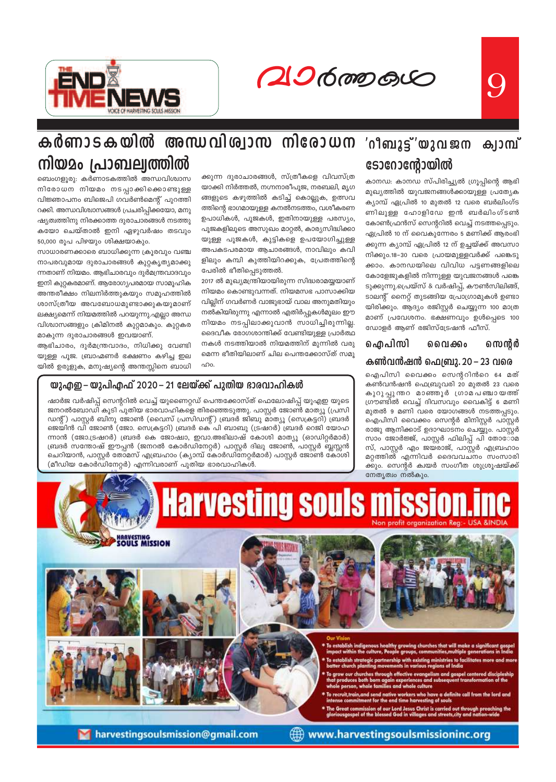20600000



## കർണാടകയിൽ അന്ധവിശ്വാസ നിരോധന നിയമം പ്രാബല്വത്തിൽ

ബെംഗളൂരു: കർണാടകത്തിൽ അന്ധവിശ്വാസ നിരോധന നിയമം നടപ്പാക്കിക്കൊണ്ടുള്ള വിജ്ഞാപനം ബിജെപി ഗവർൺമെന്റ് പുറത്തി റക്കി. അന്ധവിശ്വാസങ്ങൾ പ്രചരിപ്പിക്കയോ, മനു ഷ്യത്വത്തിനു നിരക്കാത്ത ദുരാചാരങ്ങൾ നടത്തു കയോ ചെയ്താൽ ഇനി ഏഴുവർഷം തടവും 50,000 രൂപ പിഴയും ശിക്ഷയാകും.

സാധാരണക്കാരെ ബാധിക്കുന്ന ക്രൂരവും വഞ്ച നാപരവുമായ ദുരാചാരങ്ങൾ കുറ്റകൃത്യമാക്കു ന്നതാണ് നിയമം. ആഭിചാരവും ദുർമന്ത്രവാദവും ഇനി കുറ്റകരമാണ്. ആരോഗ്യപരമായ സാമൂഹിക അന്തരീക്ഷം നിലനിർത്തുകയും സമൂഹത്തിൽ ശാസ്ത്രീയ അവബോധമുണ്ടാക്കുകയുമാണ് ലക്ഷ്യമെന്ന് നിയമത്തിൽ പറയുന്നു.എല്ലാ അന്ധ വിശ്വാസങ്ങളും ക്രിമിനൽ കുറ്റമാകും. കുറ്റകര മാകുന്ന ദുരാചാരങ്ങൾ ഇവയാണ്.

ആഭിചാരം, ദുർമന്ത്രവാദം, നിധിക്കു വേണ്ടി യുള്ള പൂജ. ബ്രാഹ്മണർ ഭക്ഷണം കഴിച്ച ഇല യിൽ ഉരുളുക, മനുഷ്യന്റെ അന്തസ്സിനെ ബാധി ക്കുന്ന ദുരാചാരങ്ങൾ, സ്ത്രീകളെ വിവസ്ത്ര യാക്കി നിർത്തൽ, നഗ്നനാരീപൂജ, നരബലി, മൃഗ ങ്ങളുടെ കഴുത്തിൽ കടിച്ച് കൊല്ലുക, ഉത്സവ ത്തിന്റെ ഭാഗമായുള്ള കനൽനടത്തം, വശീകരണ ഉപാധികൾ, പൂജകൾ, ഇതിനായുള്ള പരസ്യം, പൂജകളിലൂടെ അസുഖം മാറ്റൽ, കാര്യസിദ്ധിക്കാ യുള്ള പൂജകൾ, കുട്ടികളെ ഉപയോഗിച്ചുള്ള അപകടപരമായ ആചാരങ്ങൾ, നാവിലും കവി ളിലും കമ്പി കുത്തിയിറക്കുക, പ്രേതത്തിന്റെ പേരിൽ ഭീതിപ്പെടുത്തൽ.

2017 ൽ മുഖ്യമന്ത്രിയായിരുന്ന സിദ്ധരാമയ്യയാണ് നിയമം കൊണ്ടുവന്നത്. നിയമസഭ പാസാക്കിയ വില്ലിന് ഗവർണർ വാജുഭായ് വാല അനുമതിയും നൽകിയിരുന്നു എന്നാൽ എതിർപ്പുകൾമൂലം ഈ നിയമം നടപ്പിലാക്കുവാൻ സാധിച്ചിരുന്നില്ല. ദൈവീക രോഗശാന്തിക്ക് വേണ്ടിയുള്ള പ്രാർത്ഥ നകൾ നടത്തിയാൽ നിയമത്തിന് മുന്നിൽ വരു മെന്ന ഭീതിയിലാണ് ചില പെന്തക്കോസ്ത് സമൂ ഹം

#### യുഎഇ– യുപിഎഫ് 2020–21 ലേയ്ക്ക് പുതിയ ഭാരവാഹികൾ

ഷാർജ വർഷിപ്പ് സെന്ററിൽ വെച്ച് യുണൈറ്റഡ് പെന്തക്കോസ്ത് ഫെലോഷിപ്പ് യുഎഇ യുടെ ജനറൽബോഡി കൂടി പുതിയ ഭാരവാഹികളെ തിരഞ്ഞെടുത്തു. പാസ്റ്റർ ജോൺ മാത്യൂ (പ്രസി ഡന്റ്) പാസ്റ്റർ ബിനു ജോൺ (വൈസ് പ്രസിഡന്റ്) ബ്രദർ ജിബു മാത്യൂ (സെക്രട്ടറി) ബ്രദർ ജെയിൻ വി ജോൺ (ജോ. സെക്രട്ടറി) ബ്രദർ കെ പി ബാബു (ട്രഷറർ) ബ്രദർ റെജി യോഹ ന്നാൻ (ജോ.ട്രഷറർ) ബ്രദർ കെ ജോഷ്വാ, ഇവാ.അഭിലാഷ് കോശി മാത്യൂ (ഓഡിറ്റർമാർ) ബ്രദർ സന്തോഷ് ഈപ്പൻ (ജനറൽ കോർഡിനേറ്റർ) പാസ്റ്റർ ദിലു ജോൺ, പാസ്റ്റർ ബ്ലസ്സൻ ചെറിയാൻ, പാസ്റ്റർ തോമസ് എബ്രഹാം (ക്യാമ്പ് കോർഡിനേറ്റർമാർ) പാസ്റ്റർ ജോൺ കോശി (മീഡിയ കോർഡിനേറ്റർ) എന്നിവരാണ് പുതിയ ഭാരവാഹികൾ.

#### ്റീബൂട്ട്"യുവ ജന ക്വാമ്പ് ടോറോന്റോയിൽ

9

കാനഡ: കാനഡ സ്പിരിച്ച്യൽ ഗ്രൂപ്പിന്റെ ആഭി മുഖ്യത്തിൽ യുവജനങ്ങൾക്കായുള്ള പ്രത്യേക ക്യാമ്പ് ഏപ്രിൽ 10 മുതൽ 12 വരെ ബർലിംഗ്ട ണിലുള്ള ഹോളിഡേ ഇൻ ബർലിംഗ്ടൺ കോൺഫ്രൻസ് സെന്ററിൽ വെച്ച് നടത്തപ്പെടും. ഏപ്രിൽ 10 ന് വൈകുന്നേരം 5 മണിക്ക് ആരംഭി ക്കുന്ന ക്യാമ്പ് ഏപ്രിൽ 12 ന് ഉച്ചയ്ക്ക് അവസാ നിക്കും.18-30 വരെ പ്രായമുള്ളവർക്ക് പങ്കെടു ക്കാം. കാനഡയിലെ വിവിധ പട്ടണങ്ങളിലെ കോളേജുകളിൽ നിന്നുള്ള യുവജനങ്ങൾ പങ്കെ ടുക്കുന്നു.പ്രെയ്സ് & വർഷിപ്, കൗൺസിലിങ്ങ്, ടാലന്റ് നൈറ്റ് തുടങ്ങിയ പ്രോഗ്രാമുകൾ ഉണ്ടാ യിരിക്കും. ആദ്യം രജിസ്റ്റർ ചെയ്യുന്ന 100 മാത്ര മാണ് പ്രവേശനം. ഭക്ഷണവും ഉൾപ്പെടെ 100 ഡോളർ ആണ് രജിസ്ട്രേഷൻ ഫീസ്.

#### ഐപിസി സെന്റർ ൈവക്കം

#### കൺവൻഷൻ ഫെബ്രു. 20 – 23 വരെ

ഐപിസി വൈക്കം സെന്ററിൻറെ 64 മത് കൺവൻഷൻ ഫെബ്രുവരി 20 മുതൽ 23 വരെ കുറുപ്പുന്തറ മാഞ്ഞൂർ ഗ്രാമപഞ്ചായത്ത് ഗ്രൗണ്ടിൽ വെച്ച് ദിവസവും വൈകിട്ട് 6 മണി മൂതൽ 9 മണി വരെ യോഗങ്ങൾ നടത്തപ്പടും. ഐപിസി വൈക്കം സെന്റർ മിനിസ്റ്റർ പാസ്റ്റർ രാജു ആനിക്കാട് ഉദാഘാടനം ചെയ്യും. പാസ്റ്റർ സാം ജോർജ്ജ്, പാസ്റ്റർ ഫിലിപ്പ് പി തോോാമ സ്, പാസ്റ്റർ എം ജയരാജ്, പാസ്റ്റർ എബ്രഹാം മറ്റത്തിൽ എന്നിവർ ദൈവവചനം സംസാരി ക്കും. സെന്റർ ക്വയർ സംഗീത ശുശ്രൂഷയ്ക്ക് നേതൃത്വം നൽകും.



harvestingsoulsmission@gmail.com

www.harvestingsoulsmissioninc.org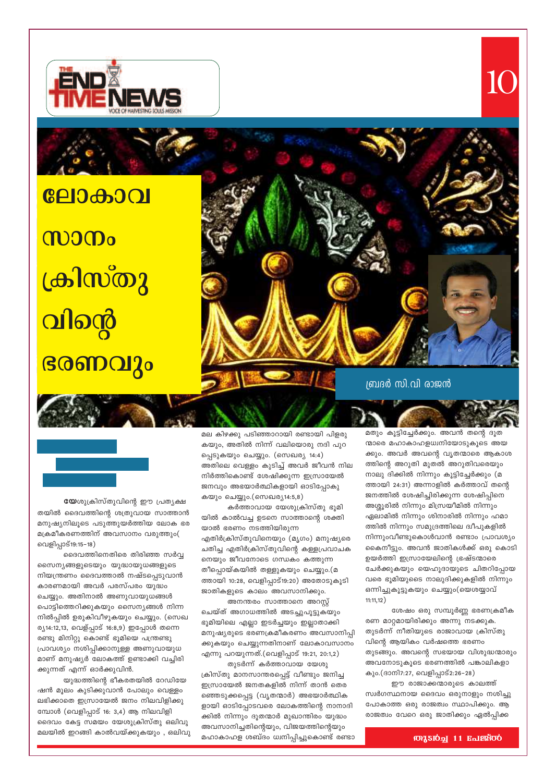യുദ്ധത്തിന്റെ ഭീകരതയിൽ റേഡിയേ ഷൻ മൂലം കുടിക്കുവാൻ പോലും വെള്ളം ലഭിക്കാതെ ഇസ്രായേൽ ജനം നിലവിളിക്കു മ്പോൾ (വെളിപ്പാട് 16: 3,4) ആ നിലവിളി ദൈവം കേട്ട സമയം യേശുക്രിസ്തു ഒലിവു മലയിൽ ഇറങ്ങി കാൽവയ്ക്കുകയും , ഒലിവു

ദൈവത്തിനെതിരെ തിരിഞ്ഞ സർവ്വ സൈന്യങ്ങളുടെയും യുദ്ധായുധങ്ങളുടെ നിയന്ത്രണം ദൈവത്താൽ നഷ്ടപ്പെടുവാൻ കാരണമായി അവർ പരസ്പരം യുദ്ധം ചെയ്യും. അതിനാൽ അണുവായുധങ്ങൾ പൊട്ടിത്തെറിക്കുകയും സൈന്യങ്ങൾ നിന്ന നിൽപ്പിൽ ഉരുകിവീഴുകയും ചെയ്യും. (സെഖ ര്യ14:12,13, വെള്പ്പാട് 16:8,9) ഇപ്പോൾ തന്നെ രണ്ടു മിനിറ്റു കൊണ്ട് ഭൂമിയെ പന്ത്രണ്ടു പ്രാവശ്യം നശിപ്പിക്കാനുള്ള അണുവായുധ മാണ് മനുഷ്യർ ലോകത്ത് ഉണ്ടാക്കി വച്ചിരി ക്കുന്നത് എന്ന് ഓർക്കുവിൻ.

തയിൽ ദൈവത്തിന്റെ ശത്രുവായ സാത്താൻ മനുഷ്യനിലൂടെ പടുത്തുയർത്തിയ ലോക ഭര മക്രമീകരണത്തിന് അവസാനം വരുത്തും( വെളിപ്പാട്19:15-18)

യേശുക്രിസ്തുവിന്റെ ഈ പ്രത്യക്ഷ

വിന്റെ ഭരണവും

**CEDA001** 

ക്രിസ്തു

**MOOD** 

ബ്രദർ സി.വി രാജൻ

മല കിഴക്കു പടിഞ്ഞാറായി രണ്ടായി പിളരു കയും, അതിൽ നിന്ന് വലിയൊരു നദി പുറ പ്പെടുകയും ചെയ്യും. (സെഖര്യ 14:4) അതിലെ വെള്ളം കുടിച്ച് അവർ ജീവൻ നില നിർത്തികൊണ്ട് ശേഷിക്കുന്ന ഇസ്രായേൽ ജനവും അഭയാർത്ഥികളായി ഓടിപ്പോകു കയും ചെയ്യും.(സെഖര്യ14:5,8)

കർത്താവായ യേശുക്രിസ്തു ഭൂമി യിൽ കാൽവച്ച ഉടനെ സാത്താന്റെ ശക്തി യാൽ ഭരണം നടത്തിയിരുന്ന എതിർക്രിസ്തുവിനെയും (മൃഗം) മനുഷ്യരെ ചതിച്ച എതിർക്രിസ്തുവിന്റെ കള്ളപ്രവാചക നെയും ജീവനോടെ ഗന്ധകം കത്തുന്ന തീപ്പൊയ്കയിൽ തള്ളുകയും ചെയ്യും.(മ ത്തായി 10:28, വെളിപ്പാട്19:20) അതോടുകൂടി ജാതികളുടെ കാലം അവസാനിക്കും. അനന്തരം സാത്താനെ അറസ്റ്റ്

ചെയ്ത് അഗാധത്തിൽ അടച്ചുപൂട്ടുകയും ഭൂമിയിലെ എല്ലാ ഇടർച്ചയും ഇല്ലാതാക്കി മനുഷ്യരുടെ ഭരണക്രമീകരണം അവസാനിപ്പി .<br>ക്കുകയും ചെയ്യുന്നതിനാണ് ലോകാവസാനം എന്നു പറയുന്നത്.(വെളിപ്പാട് 19:21, 20:1,2)

തുടർന്ന് കർത്താവായ യേശു ക്രിസ്തു മാനസാന്തരപ്പെട്ട് വീണ്ടും ജനിച്ച ഇസ്രായേൽ ജനതകളിൽ നിന്ന് താൻ തെര ഞ്ഞെടുക്കപ്പെട്ട (വൃതന്മാർ) അഭയാർത്ഥിക ളായി ഓടിപ്പോടവരെ ലോകത്തിന്റെ നാനാദി ക്കിൽ നിന്നും ദൂതന്മാർ മുഖാന്തിരം യുദ്ധം അവസാനിച്ചതിന്റെയും, വിജയത്തിന്റെയും മഹാകാഹള ശബ്ദം ധ്വനിപ്പിച്ചുകൊണ്ട് രണ്ടാ മതും കൂട്ടിച്ചേർക്കും. അവൻ തന്റെ ദൂത ന്മാരെ മഹാകാഹളധ്വനിയോടുകൂടെ അയ ക്കും. അവർ അവന്റെ വൃതന്മാരെ ആകാശ ത്തിന്റെ അറുതി മുതൽ അറുതിവരെയും നാലു ദിക്കിൽ നിന്നും കൂട്ടിച്ചേർക്കും (മ ത്തായി 24:31) അന്നാളിൽ കർത്താവ് തന്റെ ജനത്തിൽ ശേഷിച്ചിരിക്കുന്ന ശേഷിപ്പിനെ അശ്ശൂരിൽ നിന്നും മിസ്രയീമിൽ നിന്നും ഏലാമിൽ നിന്നും ശിനാരിൽ നിന്നും ഹമാ ത്തിൽ നിന്നും സമുദ്രത്തിലെ ദ്വീപുകളിൽ നിന്നുംവീണ്ടുകൊൾവാൻ രണ്ടാം പ്രാവശ്യം കൈനീട്ടും. അവൻ ജാതികൾക്ക് ഒരു കൊടി ഉയർത്തി ഇസ്രായേലിന്റെ ഭ്രഷ്ടന്മാരെ ചേർക്കുകയും യെഹൂദായുടെ ചിതറിപ്പോയ വരെ ഭൂമിയുടൈ നാലുദിക്കുകളിൽ നിന്നും ഒന്നിച്ചുകൂട്ടുകയും ചെയ്യും(യെശയ്യാവ്  $11:11,12)$ 

10

ശേഷം ഒരു സമ്പൂർണ്ണ ഭരണക്രമീക രണ മാറ്റമായിരിക്കും അന്നു നടക്കുക. തുടർന്ന് നീതിയുടെ രാജാവായ ക്രിസ്തു വിന്റെ ആയികം വർഷത്തെ ഭരണം തുടങ്ങും. അവന്റെ സഭയായ വിശുദ്ധന്മാരും അവനോടുകൂടെ ഭരണത്തിൽ പങ്കാലികളാ കും.(ദാനി7:27, വെളിപ്പാട്2:26-28)

ഈ രാജാക്കന്മാരുടെ കാലത്ത് സ്വർഗസ്ഥനായ ദൈവം ഒരുനാളും നശിച്ചു പോകാത്ത ഒരു രാജത്വം സ്ഥാപിക്കും. ആ രാജത്വം വേറെ ഒരു ജാതിക്കും ഏൽപ്പിക്ക

#### **0013102 11 Balgroo**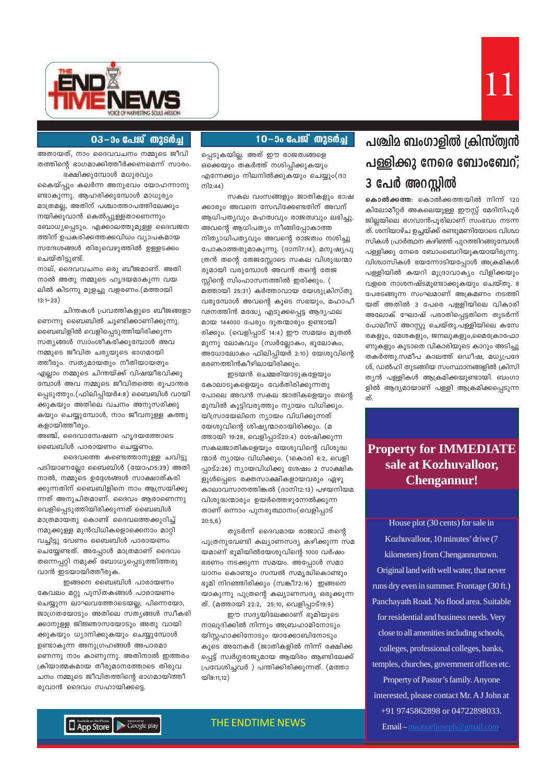



#### 03-ാം പേജ് തുടർച്ച

അതായത്, നാം ദൈവവചനം നമ്മുടെ ജീവി തത്തിന്റെ ഭാഗമാക്കിത്തീർക്കണമെന്ന് സാരം. ഭക്ഷിക്കുമ്പോൾ മധുരവും

കൈയ്പ്പും കലർന്ന അനുഭവം യോഹന്നാനു ണ്ടാകുന്നു. ആഹരിക്കുമ്പോൾ മാധുര്യം മാത്രമല്ല, അതിന് പശ്ചാത്താപത്തിലേക്കും നയിക്കുവാൻ കെൽപ്പുള്ളതാണെന്നും ബോധ്യപ്പെടും. എക്കാലത്തുമുള്ള ദൈവജന ത്തിന് ഉപകരിക്കത്തക്കവിധം വ്യാപകമായ സന്ദേശങ്ങൾ തിരുവെഴുത്തിൽ ഉള്ളടക്കം ചെയ്തിട്ടുണ്ട്.

നാല്, ദൈവവചനം ഒരു ബീജമാണ്. അതി നാൽ അതു നമ്മുടെ ഹൃദയമാകുന്ന വയ ലിൽ കിടന്നു മുളച്ചു വളരണം.(മത്തായി  $13:1-23)$ 

ചിന്തകൾ പ്രവത്തികളുടെ ബീജങ്ങളാ ണെന്നു ബൈബിൽ ചൂണ്ടിക്കാണിക്കുന്നു. ബൈബിളിൽ വെളിപ്പെടുത്തിയിരിക്കുന്ന സത്യങ്ങൾ സ്വാംശീകരിക്കുമ്പോൾ അവ നമ്മുടെ ജീവിത ചര്യയുടെ ഭാഗമായി ത്തീരും. സത്യമായതും നീതിയായതും എല്ലാം നമ്മുടെ ചിന്തയ്ക്ക് വിഷയീഭവിക്കു മ്പോൾ അവ നമ്മുടെ ജീവിതത്തെ രൂപാന്തര പ്പെടുത്തും.(ഫിലിപ്പിയർ4:8) ബൈബിൾ വായി ക്കുകയും അതിലെ വചനം അനുസരിക്കു കയും ചെയ്യുമ്പോൾ, നാം ജീവനുള്ള കത്തു കളായിത്തീരും.

അഞ്ച്, ദൈവാന്വേഷണ ഹൃദയത്തോടെ ബൈബിൾ പാരായണം ചെയ്യണം.

ദൈവത്തെ കണ്ടെത്താനുള്ള ചവിട്ടു പടിയാണല്ലോ ബൈബിൾ (യോഹ5:39) അതി നാൽ, നമ്മുടെ ഉദ്ദേശങ്ങൾ സാക്ഷാത്കരി ക്കുന്നതിന് ബൈബിളിനെ നാം ആന്ധ്രയിക്കു ന്നത് അനുചിതമാണ്. ദൈവം ആരാണെന്നു വെളിപ്പെടുത്തിയിരിക്കുന്നത് ബൈബിൾ മാത്രമായതു കൊണ്ട് ദൈവത്തെക്കുറിച്ച് നമുക്കുള്ള മുൻവിധികളൊക്കെനാം മാറ്റി വച്ചിട്ടു വേണം ബൈബിൾ പാരായണം ചെയ്യേണ്ടത്. അപ്പോൾ മാത്രമാണ് ദൈവം തന്നെപ്പറ്റി നമുക്ക് ബോധ്യപ്പെടുത്തിത്തരു വാൻ ഇടയായിത്തീരുക.

ഇങ്ങനെ ബൈബിൾ പാരായണം കേവലം മറ്റു പുസ്തകങ്ങൾ പാരായണം ചെയ്യുന്ന ലാഘവത്തോടെയല്ല; പിന്നെയോ, ജാഗ്രതയോടും അതിലെ സത്യങ്ങൾ സ്വീകരി ക്കാനുള്ള ജിജ്ഞാസയോടും അതു വായി ക്കുകയും ധ്യാനിക്കുകയും ചെയ്യുമ്പോൾ ഉണ്ടാകുന്ന അനുഗ്രഹങ്ങൾ അപാരമാ ണെന്നു നാം കാണുന്നു. അതിനാൽ ഇത്തരം ക്രിയാത്മകമായ തീരുമാനത്തോടെ തിരുവ ചനം നമ്മുടെ ജീവിതത്തിന്റെ ഭാഗമായിത്തീ രുവാൻ ദൈവം സഹായിക്കട്ടെ.

10–ാം പേജ് തുടർച്ച

പ്പെടുകയില്ല. അത് ഈ രാജത്വങ്ങളെ ഒക്കെയും തകർത്ത് നശിപ്പിക്കുകയും എന്നേക്കും നിലനിൽക്കുകയും ചെയ്യും(ദാ  $m2:44)$ 

സകല വംസങ്ങളും ജാതികളും ഭാഷ ക്കാരും അവനെ സേവിക്കേണ്ടതിന് അവന് ആധിപത്യവും മഹത്വവും രാജത്വവും ലഭിച്ചു. അവന്റെ ആധിപത്യം നീങ്ങിപ്പോകാത്ത നിത്യാധിപത്യവും അവന്റെ രാജത്വം നശിച്ചു പോകാത്തതുമാകുന്നു. (ദാനി7:14). മനുഷ്യപു ത്രൻ തന്റെ തേജസ്സോടെ സകല വിശുദ്ധന്മാ രുമായി വരുമ്പോൾ അവൻ തന്റെ തേജ സ്സിന്റെ സിംഹാസനത്തിൽ ഇരിക്കും. ( മത്തായി 25:31) കർത്താവായ യേശുക്രിസ്തു വരുമ്പോൾ അവന്റെ കൂടെ സഭയും, മഹാപീ ഢനത്തിൻ മദ്ധ്യേ എടുക്കപ്പെട്ട ആദ്യഫല മായ 144000 പേരും ദുതന്മാരും ഉണ്ടായി രിക്കും. (വെളിപ്പാട് 14:4) ഈ സമയം മുതൽ മൂന്നു ലോകവും (സ്വർല്ലോകം, ഭൂലോകം, അധോലോകം ഫിലിപ്പിയർ 2:10) യേശുവിന്റെ ഭരണത്തിൻകീഴിലായിരിക്കും.

ഇടയൻ ചെമ്മരിയാടുകളേയും കോലാടുകളെയും വേർതിരിക്കുന്നതു പോലെ അവൻ സകല ജാതികളെയും തന്റെ മുമ്പിൽ കൂട്ടിവരുത്തും ന്യായം വിധിക്കും. യിസ്രായേലിനെ ന്യായം വിധിക്കുന്നത് യേശുവിന്റെ ശിഷ്യന്മാരായിരിക്കും. (മ ത്തായി 19:28, വെളിപ്പാട്20:4) ശേഷിക്കുന്ന സകലജാതികളെയും യേശുവിന്റെ വിശുദ്ധ ന്മാർ ന്യായം വിധിക്കും. (1കൊരി 6:2, വെളി പ്പാട്2:26) ന്യായവിധിക്കു ശേഷം 2 സാക്ഷിക ളുൾപ്പെടെ രക്തസാക്ഷികളായവരും ഏഴു കാലാവസാനത്തിങ്കൽ (ദാനി12:13) പഴയനിയമ വിശുദ്ധന്മാരും ഉയർത്തെഴുന്നേൽക്കുന്ന താണ് ഒന്നാം പുനരുത്ഥാനം(വെളിപ്പാട്  $20:5,6)$ 

തുടർന്ന് ദൈവമായ രാജാവ് തന്റെ പുത്രനുവേണ്ടി കല്യാണസദ്യ കഴിക്കുന്ന സമ യമാണ് ഭൂമിയിൽയേശുവിന്റെ 1000 വർഷം ഭരണം നടക്കുന്ന സമയം. അപ്പോൾ സമാ ധാനം കൊണ്ടും സമ്പൽ സമൃദ്ധികൊണ്ടും ഭൂമി നിറഞ്ഞിരിക്കും (സങ്കീ72:16) ഇങ്ങനെ യാകുന്നു പുത്രന്റെ കല്യാണസദ്യ ഒരുക്കുന്ന ത്. (മത്തായി 22:2, 25:10, വെളിപ്പാട്19:9)

ഈ സദ്യയിലേക്കാണ് ഭൂമിയുടെ നാലുദിക്കിൽ നിന്നും അബ്രഹാമിനോടും യിസ്സഹാക്കിനോടും യാക്കോബിനോടും കൂടെ അനേകർ (ജാതികളിൽ നിന്ന് രക്ഷിക്ക പ്പെട്ട് സ്വർഗ്ഗരാജ്യമായ ആയിരം ആണ്ടിലേക്ക് പ്രവേശിച്ചവർ ) പന്തിക്കിരിക്കുന്നത്. (മത്താ  $@38:11,12)$ 

## പശ്ചിമ ബംഗാളിൽ ക്രിസ്ത്വൻ പള്ളിക്കു നേരെ ബോംബേറ്; 3 പേർ അറസ്റ്റിൽ

കൊൽക്കത്ത: കൊൽക്കത്തയിൽ നിന്ന് 120 കിലോമീറ്റർ അകലെയുള്ള ഈസ്റ്റ് മേദിനിപൂർ ജില്ലയിലെ ഭഗവാൻപൂരിലാണ് സംഭവം നടന്ന ത്. ശനിയാഴ്ച ഉച്ചയ്ക്ക് രണ്ടുമണിയോടെ വിശ്വാ സികൾ പ്രാർത്ഥന കഴിഞ്ഞ് പുറത്തിറങ്ങുമ്പോൾ പള്ളിക്കു നേരെ ബോംബെറിയുകയായിരുന്നു. വിശ്വാസികൾ ഭയന്നോടിയപ്പോൾ അക്രമികൾ പള്ളിയിൽ കയറി മുദ്രാവാക്യം വിളിക്കയും വളരെ നാശനഷ്ടമുണ്ടാക്കുകയും ചെയ്തു. 8 പേരടങ്ങുന്ന സംഘമാണ് അക്രമണം നടത്തി യത് അതിൽ 3 പേരെ പള്ളിയിലെ വികാരി അലോക് ഘോഷ് പരാതിപ്പെട്ടതിനെ തുടർന്ന് പോലീസ് അറസ്റ്റു ചെയ്തു.പള്ളിയിലെ കസേ രകളും, മേശകളും, ജനലുകളും,മൈക്രോഫോ ണുകളും കൂടാതെ വികാരിയുടെ കാറും അടിച്ചു തകർത്തു.സമീപ കാലത്ത് ഒഡീഷ, മധ്യപ്രദേ ശ്, ഡൽഹി തുടങ്ങിയ സംസ്ഥാനങ്ങളിൽ ക്രിസി ത്യൻ പള്ളികൾ ആക്രമിക്കയുണ്ടായി. ബംഗാ ളിൽ ആദ്യമായാണ് പള്ളി ആക്രമിക്കപ്പെടുന്ന ത്.

### **Property for IMMEDIATE** sale at Kozhuvalloor, **Chengannur!**

House plot (30 cents) for sale in Kozhuvalloor, 10 minutes' drive (7 kilometers) from Chengannurtown. Original land with well water, that never runs dry even in summer. Frontage (30 ft.) Panchayath Road. No flood area. Suitable for residential and business needs. Very close to all amenities including schools, colleges, professional colleges, banks, temples, churches, government offices etc. Property of Pastor's family. Anyone interested, please contact Mr. A J John at +91 9745862898 or 04722898033.

App Store **Coogle** play

#### **THE ENDTIME NEWS**

Email – maanueljoseph@gmail.com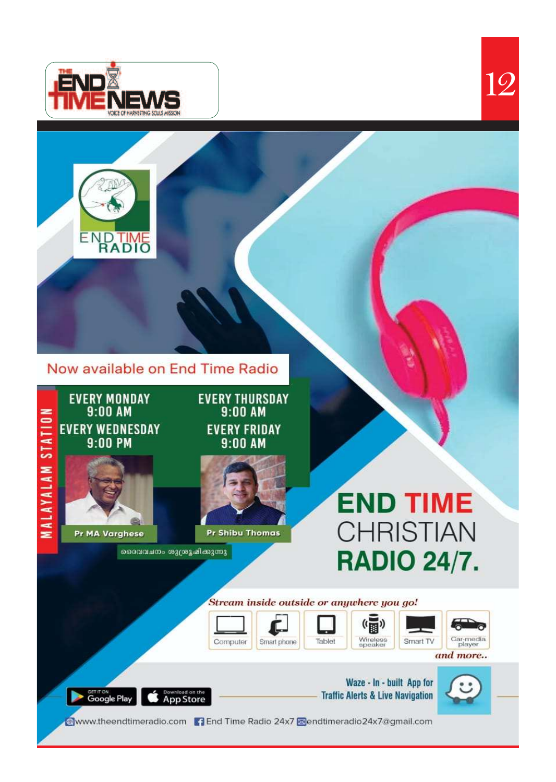